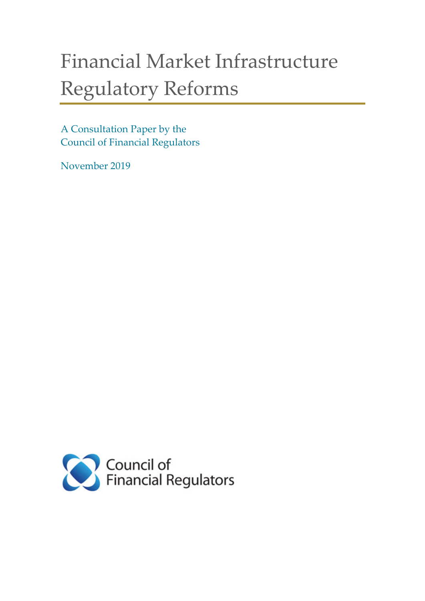# Financial Market Infrastructure Regulatory Reforms

A Consultation Paper by the Council of Financial Regulators

November 2019

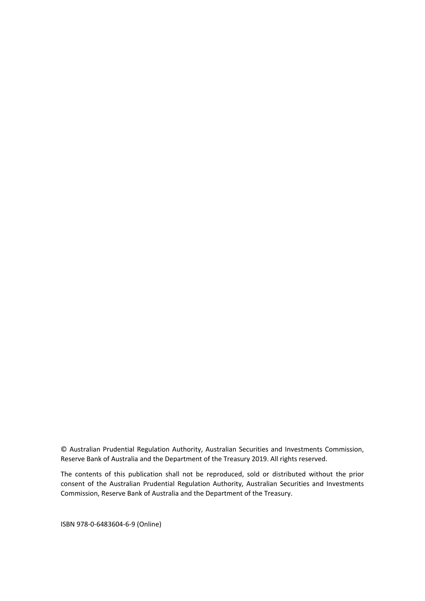© Australian Prudential Regulation Authority, Australian Securities and Investments Commission, Reserve Bank of Australia and the Department of the Treasury 2019. All rights reserved.

The contents of this publication shall not be reproduced, sold or distributed without the prior consent of the Australian Prudential Regulation Authority, Australian Securities and Investments Commission, Reserve Bank of Australia and the Department of the Treasury.

ISBN 978-0-6483604-6-9 (Online)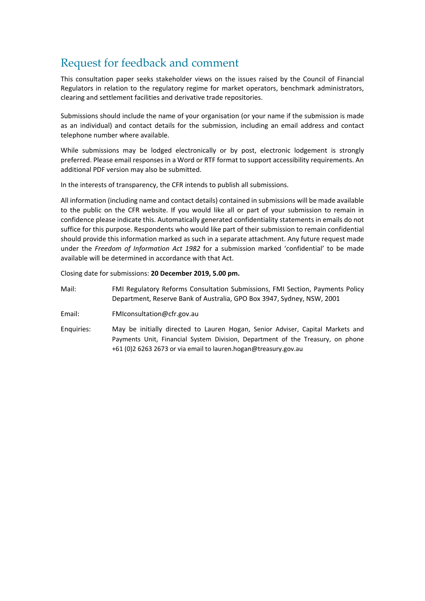## Request for feedback and comment

This consultation paper seeks stakeholder views on the issues raised by the Council of Financial Regulators in relation to the regulatory regime for market operators, benchmark administrators, clearing and settlement facilities and derivative trade repositories.

Submissions should include the name of your organisation (or your name if the submission is made as an individual) and contact details for the submission, including an email address and contact telephone number where available.

While submissions may be lodged electronically or by post, electronic lodgement is strongly preferred. Please email responses in a Word or RTF format to support accessibility requirements. An additional PDF version may also be submitted.

In the interests of transparency, the CFR intends to publish all submissions.

All information (including name and contact details) contained in submissions will be made available to the public on the CFR website. If you would like all or part of your submission to remain in confidence please indicate this. Automatically generated confidentiality statements in emails do not suffice for this purpose. Respondents who would like part of their submission to remain confidential should provide this information marked as such in a separate attachment. Any future request made under the *Freedom of Information Act 1982* for a submission marked 'confidential' to be made available will be determined in accordance with that Act.

Closing date for submissions: **20 December 2019, 5.00 pm.**

- Mail: FMI Regulatory Reforms Consultation Submissions, FMI Section, Payments Policy Department, Reserve Bank of Australia, GPO Box 3947, Sydney, NSW, 2001
- Email: [FMIconsultation@cfr.gov.au](mailto:FMIconsultation@cfr.gov.au)
- Enquiries: May be initially directed to Lauren Hogan, Senior Adviser, Capital Markets and Payments Unit, Financial System Division, Department of the Treasury, on phone +61 (0)2 6263 2673 or via email to lauren.hogan@treasury.gov.au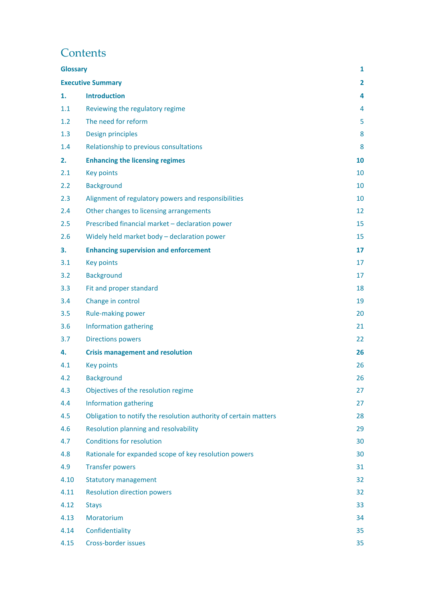## **Contents**

| <b>Glossary</b> |                                                                  | 1              |
|-----------------|------------------------------------------------------------------|----------------|
|                 | <b>Executive Summary</b>                                         | $\overline{2}$ |
| 1.              | <b>Introduction</b>                                              | 4              |
| 1.1             | Reviewing the regulatory regime                                  | 4              |
| 1.2             | The need for reform                                              | 5              |
| 1.3             | Design principles                                                | 8              |
| 1.4             | Relationship to previous consultations                           | 8              |
| 2.              | <b>Enhancing the licensing regimes</b>                           | 10             |
| 2.1             | <b>Key points</b>                                                | 10             |
| 2.2             | <b>Background</b>                                                | 10             |
| 2.3             | Alignment of regulatory powers and responsibilities              | 10             |
| 2.4             | Other changes to licensing arrangements                          | 12             |
| 2.5             | Prescribed financial market - declaration power                  | 15             |
| 2.6             | Widely held market body - declaration power                      | 15             |
| 3.              | <b>Enhancing supervision and enforcement</b>                     | 17             |
| 3.1             | <b>Key points</b>                                                | 17             |
| 3.2             | <b>Background</b>                                                | 17             |
| 3.3             | Fit and proper standard                                          | 18             |
| 3.4             | Change in control                                                | 19             |
| 3.5             | Rule-making power                                                | 20             |
| 3.6             | Information gathering                                            | 21             |
| 3.7             | <b>Directions powers</b>                                         | 22             |
| 4.              | <b>Crisis management and resolution</b>                          | 26             |
| 4.1             | <b>Key points</b>                                                | 26             |
| 4.2             | <b>Background</b>                                                | 26             |
| 4.3             | Objectives of the resolution regime                              | 27             |
| 4.4             | Information gathering                                            | 27             |
| 4.5             | Obligation to notify the resolution authority of certain matters | 28             |
| 4.6             | Resolution planning and resolvability                            | 29             |
| 4.7             | <b>Conditions for resolution</b>                                 | 30             |
| 4.8             | Rationale for expanded scope of key resolution powers            | 30             |
| 4.9             | <b>Transfer powers</b>                                           | 31             |
| 4.10            | <b>Statutory management</b>                                      | 32             |
| 4.11            | <b>Resolution direction powers</b>                               | 32             |
| 4.12            | <b>Stays</b>                                                     | 33             |
| 4.13            | Moratorium                                                       | 34             |
| 4.14            | Confidentiality                                                  | 35             |
| 4.15            | Cross-border issues                                              | 35             |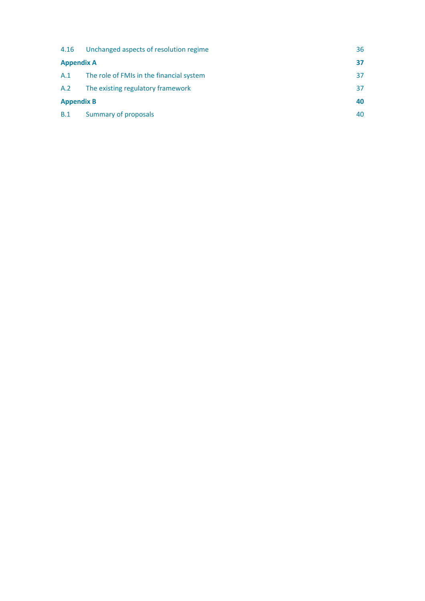| 4.16              | Unchanged aspects of resolution regime   | 36  |
|-------------------|------------------------------------------|-----|
| <b>Appendix A</b> |                                          | 37  |
| A.1               | The role of FMIs in the financial system | 37  |
| A.2               | The existing regulatory framework        | 37  |
| <b>Appendix B</b> |                                          | 40  |
| B.1               | Summary of proposals                     | 40. |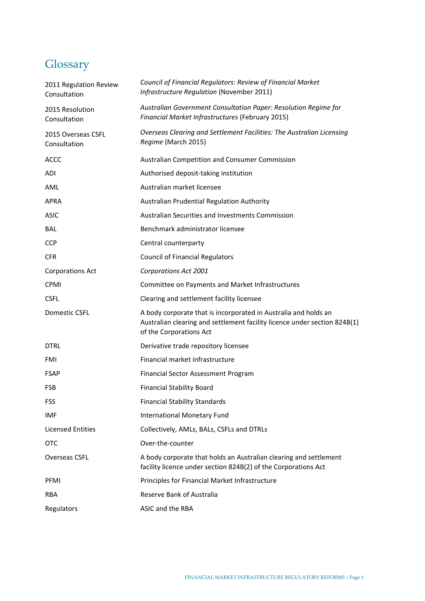## <span id="page-6-0"></span>**Glossary**

| 2011 Regulation Review<br>Consultation | Council of Financial Regulators: Review of Financial Market<br>Infrastructure Regulation (November 2011)                                                                |
|----------------------------------------|-------------------------------------------------------------------------------------------------------------------------------------------------------------------------|
| 2015 Resolution<br>Consultation        | Australian Government Consultation Paper: Resolution Regime for<br>Financial Market Infrastructures (February 2015)                                                     |
| 2015 Overseas CSFL<br>Consultation     | Overseas Clearing and Settlement Facilities: The Australian Licensing<br>Regime (March 2015)                                                                            |
| <b>ACCC</b>                            | Australian Competition and Consumer Commission                                                                                                                          |
| <b>ADI</b>                             | Authorised deposit-taking institution                                                                                                                                   |
| AML                                    | Australian market licensee                                                                                                                                              |
| <b>APRA</b>                            | Australian Prudential Regulation Authority                                                                                                                              |
| <b>ASIC</b>                            | Australian Securities and Investments Commission                                                                                                                        |
| <b>BAL</b>                             | Benchmark administrator licensee                                                                                                                                        |
| <b>CCP</b>                             | Central counterparty                                                                                                                                                    |
| <b>CFR</b>                             | <b>Council of Financial Regulators</b>                                                                                                                                  |
| <b>Corporations Act</b>                | <b>Corporations Act 2001</b>                                                                                                                                            |
| CPMI                                   | Committee on Payments and Market Infrastructures                                                                                                                        |
| <b>CSFL</b>                            | Clearing and settlement facility licensee                                                                                                                               |
| Domestic CSFL                          | A body corporate that is incorporated in Australia and holds an<br>Australian clearing and settlement facility licence under section 824B(1)<br>of the Corporations Act |
| <b>DTRL</b>                            | Derivative trade repository licensee                                                                                                                                    |
| FMI                                    | Financial market infrastructure                                                                                                                                         |
| <b>FSAP</b>                            | <b>Financial Sector Assessment Program</b>                                                                                                                              |
| <b>FSB</b>                             | <b>Financial Stability Board</b>                                                                                                                                        |
| <b>FSS</b>                             | <b>Financial Stability Standards</b>                                                                                                                                    |
| IMF                                    | International Monetary Fund                                                                                                                                             |
| <b>Licensed Entities</b>               | Collectively, AMLs, BALs, CSFLs and DTRLs                                                                                                                               |
| <b>OTC</b>                             | Over-the-counter                                                                                                                                                        |
| Overseas CSFL                          | A body corporate that holds an Australian clearing and settlement<br>facility licence under section 824B(2) of the Corporations Act                                     |
| <b>PFMI</b>                            | Principles for Financial Market Infrastructure                                                                                                                          |
| <b>RBA</b>                             | Reserve Bank of Australia                                                                                                                                               |
| Regulators                             | ASIC and the RBA                                                                                                                                                        |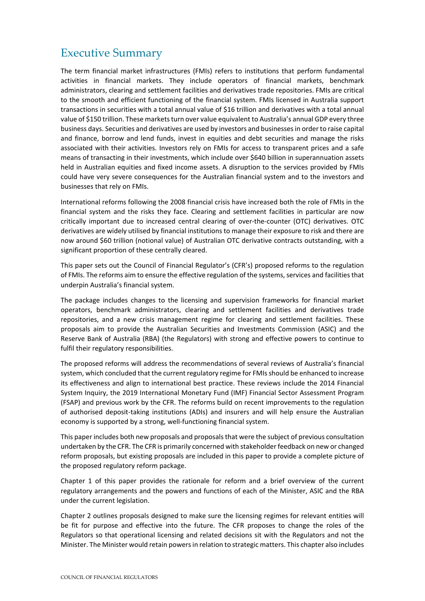## <span id="page-7-0"></span>Executive Summary

The term financial market infrastructures (FMIs) refers to institutions that perform fundamental activities in financial markets. They include operators of financial markets, benchmark administrators, clearing and settlement facilities and derivatives trade repositories. FMIs are critical to the smooth and efficient functioning of the financial system. FMIs licensed in Australia support transactions in securities with a total annual value of \$16 trillion and derivatives with a total annual value of \$150 trillion. These markets turn over value equivalent to Australia's annual GDP every three business days. Securities and derivatives are used by investors and businesses in order to raise capital and finance, borrow and lend funds, invest in equities and debt securities and manage the risks associated with their activities. Investors rely on FMIs for access to transparent prices and a safe means of transacting in their investments, which include over \$640 billion in superannuation assets held in Australian equities and fixed income assets. A disruption to the services provided by FMIs could have very severe consequences for the Australian financial system and to the investors and businesses that rely on FMIs.

International reforms following the 2008 financial crisis have increased both the role of FMIs in the financial system and the risks they face. Clearing and settlement facilities in particular are now critically important due to increased central clearing of over-the-counter (OTC) derivatives. OTC derivatives are widely utilised by financial institutions to manage their exposure to risk and there are now around \$60 trillion (notional value) of Australian OTC derivative contracts outstanding, with a significant proportion of these centrally cleared.

This paper sets out the Council of Financial Regulator's (CFR's) proposed reforms to the regulation of FMIs. The reforms aim to ensure the effective regulation of the systems, services and facilities that underpin Australia's financial system.

The package includes changes to the licensing and supervision frameworks for financial market operators, benchmark administrators, clearing and settlement facilities and derivatives trade repositories, and a new crisis management regime for clearing and settlement facilities. These proposals aim to provide the Australian Securities and Investments Commission (ASIC) and the Reserve Bank of Australia (RBA) (the Regulators) with strong and effective powers to continue to fulfil their regulatory responsibilities.

The proposed reforms will address the recommendations of several reviews of Australia's financial system, which concluded that the current regulatory regime for FMIs should be enhanced to increase its effectiveness and align to international best practice. These reviews include the 2014 Financial System Inquiry, the 2019 International Monetary Fund (IMF) Financial Sector Assessment Program (FSAP) and previous work by the CFR. The reforms build on recent improvements to the regulation of authorised deposit-taking institutions (ADIs) and insurers and will help ensure the Australian economy is supported by a strong, well-functioning financial system.

This paper includes both new proposals and proposals that were the subject of previous consultation undertaken by the CFR. The CFR is primarily concerned with stakeholder feedback on new or changed reform proposals, but existing proposals are included in this paper to provide a complete picture of the proposed regulatory reform package.

Chapter 1 of this paper provides the rationale for reform and a brief overview of the current regulatory arrangements and the powers and functions of each of the Minister, ASIC and the RBA under the current legislation.

Chapter 2 outlines proposals designed to make sure the licensing regimes for relevant entities will be fit for purpose and effective into the future. The CFR proposes to change the roles of the Regulators so that operational licensing and related decisions sit with the Regulators and not the Minister. The Minister would retain powers in relation to strategic matters. This chapter also includes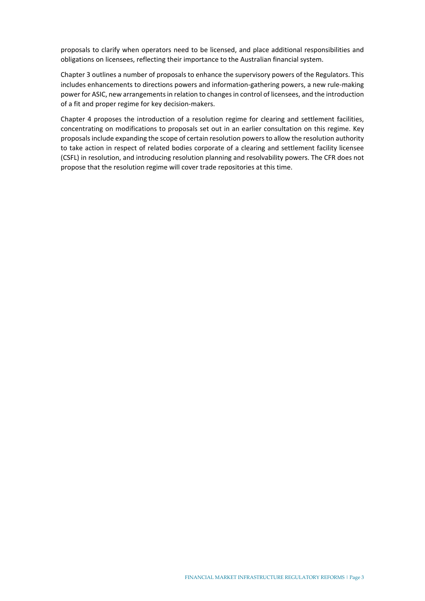proposals to clarify when operators need to be licensed, and place additional responsibilities and obligations on licensees, reflecting their importance to the Australian financial system.

Chapter 3 outlines a number of proposals to enhance the supervisory powers of the Regulators. This includes enhancements to directions powers and information-gathering powers, a new rule-making power for ASIC, new arrangements in relation to changes in control of licensees, and the introduction of a fit and proper regime for key decision-makers.

Chapter 4 proposes the introduction of a resolution regime for clearing and settlement facilities, concentrating on modifications to proposals set out in an earlier consultation on this regime. Key proposals include expanding the scope of certain resolution powers to allow the resolution authority to take action in respect of related bodies corporate of a clearing and settlement facility licensee (CSFL) in resolution, and introducing resolution planning and resolvability powers. The CFR does not propose that the resolution regime will cover trade repositories at this time.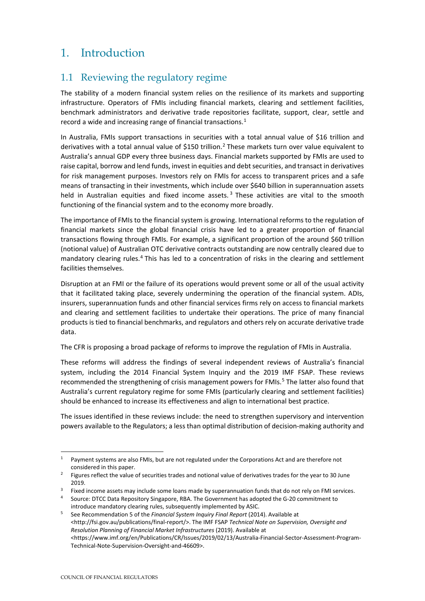## <span id="page-9-0"></span>1. Introduction

## <span id="page-9-1"></span>1.1 Reviewing the regulatory regime

The stability of a modern financial system relies on the resilience of its markets and supporting infrastructure. Operators of FMIs including financial markets, clearing and settlement facilities, benchmark administrators and derivative trade repositories facilitate, support, clear, settle and record a wide and increasing range of financial transactions.<sup>[1](#page-9-2)</sup>

In Australia, FMIs support transactions in securities with a total annual value of \$16 trillion and derivatives with a total annual value of \$150 trillion.<sup>[2](#page-9-3)</sup> These markets turn over value equivalent to Australia's annual GDP every three business days. Financial markets supported by FMIs are used to raise capital, borrow and lend funds, invest in equities and debt securities, and transact in derivatives for risk management purposes. Investors rely on FMIs for access to transparent prices and a safe means of transacting in their investments, which include over \$640 billion in superannuation assets held in Australian equities and fixed income assets.<sup>[3](#page-9-4)</sup> These activities are vital to the smooth functioning of the financial system and to the economy more broadly.

The importance of FMIs to the financial system is growing. International reforms to the regulation of financial markets since the global financial crisis have led to a greater proportion of financial transactions flowing through FMIs. For example, a significant proportion of the around \$60 trillion (notional value) of Australian OTC derivative contracts outstanding are now centrally cleared due to mandatory clearing rules.[4](#page-9-5) This has led to a concentration of risks in the clearing and settlement facilities themselves.

Disruption at an FMI or the failure of its operations would prevent some or all of the usual activity that it facilitated taking place, severely undermining the operation of the financial system. ADIs, insurers, superannuation funds and other financial services firms rely on access to financial markets and clearing and settlement facilities to undertake their operations. The price of many financial products is tied to financial benchmarks, and regulators and others rely on accurate derivative trade data.

The CFR is proposing a broad package of reforms to improve the regulation of FMIs in Australia.

These reforms will address the findings of several independent reviews of Australia's financial system, including the 2014 Financial System Inquiry and the 2019 IMF FSAP. These reviews recommended the strengthening of crisis management powers for FMIs.<sup>[5](#page-9-6)</sup> The latter also found that Australia's current regulatory regime for some FMIs (particularly clearing and settlement facilities) should be enhanced to increase its effectiveness and align to international best practice.

The issues identified in these reviews include: the need to strengthen supervisory and intervention powers available to the Regulators; a less than optimal distribution of decision-making authority and

<span id="page-9-2"></span><sup>1</sup> Payment systems are also FMIs, but are not regulated under the Corporations Act and are therefore not considered in this paper.

<span id="page-9-3"></span><sup>&</sup>lt;sup>2</sup> Figures reflect the value of securities trades and notional value of derivatives trades for the year to 30 June 2019.

<span id="page-9-4"></span><sup>&</sup>lt;sup>3</sup> Fixed income assets may include some loans made by superannuation funds that do not rely on FMI services.

<span id="page-9-5"></span><sup>4</sup> Source: DTCC Data Repository Singapore, RBA. The Government has adopted the G-20 commitment to introduce mandatory clearing rules, subsequently implemented by ASIC.

<span id="page-9-6"></span><sup>5</sup> See Recommendation 5 of the *Financial System Inquiry Final Report* (2014). Available at [<http://fsi.gov.au/publications/final-report/>](http://fsi.gov.au/publications/final-report/). The IMF FSAP *Technical Note on Supervision, Oversight and Resolution Planning of Financial Market Infrastructures* (2019). Available at [<https://www.imf.org/en/Publications/CR/Issues/2019/02/13/Australia-Financial-Sector-Assessment-Program-](https://www.imf.org/en/Publications/CR/Issues/2019/02/13/Australia-Financial-Sector-Assessment-Program-Technical-Note-Supervision-Oversight-and-46609)[Technical-Note-Supervision-Oversight-and-46609>](https://www.imf.org/en/Publications/CR/Issues/2019/02/13/Australia-Financial-Sector-Assessment-Program-Technical-Note-Supervision-Oversight-and-46609).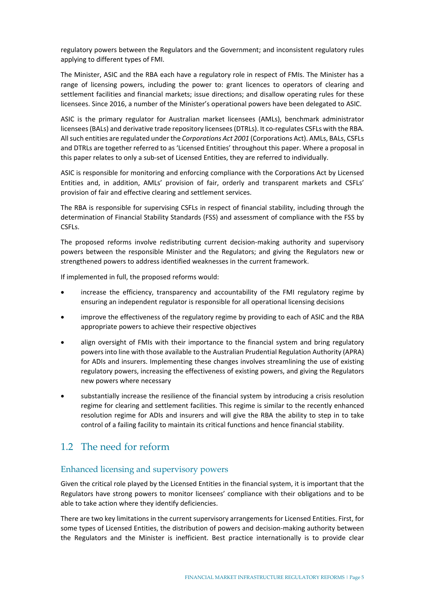regulatory powers between the Regulators and the Government; and inconsistent regulatory rules applying to different types of FMI.

The Minister, ASIC and the RBA each have a regulatory role in respect of FMIs. The Minister has a range of licensing powers, including the power to: grant licences to operators of clearing and settlement facilities and financial markets; issue directions; and disallow operating rules for these licensees. Since 2016, a number of the Minister's operational powers have been delegated to ASIC.

ASIC is the primary regulator for Australian market licensees (AMLs), benchmark administrator licensees (BALs) and derivative trade repository licensees (DTRLs). It co-regulates CSFLs with the RBA. All such entities are regulated under the *Corporations Act 2001* (Corporations Act). AMLs, BALs, CSFLs and DTRLs are together referred to as 'Licensed Entities' throughout this paper. Where a proposal in this paper relates to only a sub-set of Licensed Entities, they are referred to individually.

ASIC is responsible for monitoring and enforcing compliance with the Corporations Act by Licensed Entities and, in addition, AMLs' provision of fair, orderly and transparent markets and CSFLs' provision of fair and effective clearing and settlement services.

The RBA is responsible for supervising CSFLs in respect of financial stability, including through the determination of Financial Stability Standards (FSS) and assessment of compliance with the FSS by CSFLs.

The proposed reforms involve redistributing current decision-making authority and supervisory powers between the responsible Minister and the Regulators; and giving the Regulators new or strengthened powers to address identified weaknesses in the current framework.

If implemented in full, the proposed reforms would:

- increase the efficiency, transparency and accountability of the FMI regulatory regime by ensuring an independent regulator is responsible for all operational licensing decisions
- improve the effectiveness of the regulatory regime by providing to each of ASIC and the RBA appropriate powers to achieve their respective objectives
- align oversight of FMIs with their importance to the financial system and bring regulatory powers into line with those available to the Australian Prudential Regulation Authority (APRA) for ADIs and insurers. Implementing these changes involves streamlining the use of existing regulatory powers, increasing the effectiveness of existing powers, and giving the Regulators new powers where necessary
- substantially increase the resilience of the financial system by introducing a crisis resolution regime for clearing and settlement facilities. This regime is similar to the recently enhanced resolution regime for ADIs and insurers and will give the RBA the ability to step in to take control of a failing facility to maintain its critical functions and hence financial stability.

## <span id="page-10-0"></span>1.2 The need for reform

#### Enhanced licensing and supervisory powers

Given the critical role played by the Licensed Entities in the financial system, it is important that the Regulators have strong powers to monitor licensees' compliance with their obligations and to be able to take action where they identify deficiencies.

There are two key limitations in the current supervisory arrangements for Licensed Entities. First, for some types of Licensed Entities, the distribution of powers and decision-making authority between the Regulators and the Minister is inefficient. Best practice internationally is to provide clear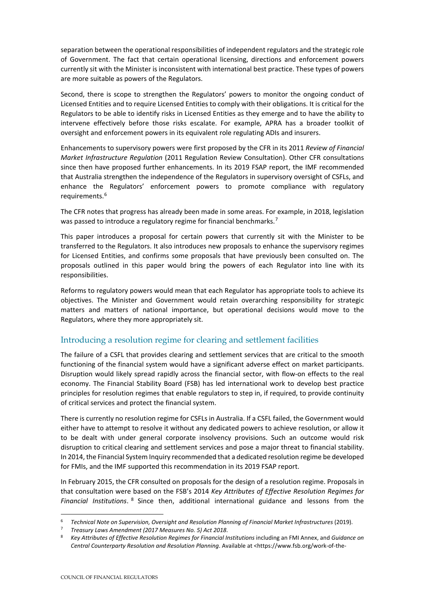separation between the operational responsibilities of independent regulators and the strategic role of Government. The fact that certain operational licensing, directions and enforcement powers currently sit with the Minister is inconsistent with international best practice. These types of powers are more suitable as powers of the Regulators.

Second, there is scope to strengthen the Regulators' powers to monitor the ongoing conduct of Licensed Entities and to require Licensed Entities to comply with their obligations. It is critical for the Regulators to be able to identify risks in Licensed Entities as they emerge and to have the ability to intervene effectively before those risks escalate. For example, APRA has a broader toolkit of oversight and enforcement powers in its equivalent role regulating ADIs and insurers.

Enhancements to supervisory powers were first proposed by the CFR in its 2011 *Review of Financial Market Infrastructure Regulation* (2011 Regulation Review Consultation). Other CFR consultations since then have proposed further enhancements. In its 2019 FSAP report, the IMF recommended that Australia strengthen the independence of the Regulators in supervisory oversight of CSFLs, and enhance the Regulators' enforcement powers to promote compliance with regulatory requirements.<sup>[6](#page-11-0)</sup>

The CFR notes that progress has already been made in some areas. For example, in 2018, legislation was passed to introduce a regulatory regime for financial benchmarks.<sup>[7](#page-11-1)</sup>

This paper introduces a proposal for certain powers that currently sit with the Minister to be transferred to the Regulators. It also introduces new proposals to enhance the supervisory regimes for Licensed Entities, and confirms some proposals that have previously been consulted on. The proposals outlined in this paper would bring the powers of each Regulator into line with its responsibilities.

Reforms to regulatory powers would mean that each Regulator has appropriate tools to achieve its objectives. The Minister and Government would retain overarching responsibility for strategic matters and matters of national importance, but operational decisions would move to the Regulators, where they more appropriately sit.

### Introducing a resolution regime for clearing and settlement facilities

The failure of a CSFL that provides clearing and settlement services that are critical to the smooth functioning of the financial system would have a significant adverse effect on market participants. Disruption would likely spread rapidly across the financial sector, with flow-on effects to the real economy. The Financial Stability Board (FSB) has led international work to develop best practice principles for resolution regimes that enable regulators to step in, if required, to provide continuity of critical services and protect the financial system.

There is currently no resolution regime for CSFLs in Australia. If a CSFL failed, the Government would either have to attempt to resolve it without any dedicated powers to achieve resolution, or allow it to be dealt with under general corporate insolvency provisions. Such an outcome would risk disruption to critical clearing and settlement services and pose a major threat to financial stability. In 2014, the Financial System Inquiry recommended that a dedicated resolution regime be developed for FMIs, and the IMF supported this recommendation in its 2019 FSAP report.

In February 2015, the CFR consulted on proposals for the design of a resolution regime. Proposals in that consultation were based on the FSB's 2014 *Key Attributes of Effective Resolution Regimes for Financial Institutions*. [8](#page-11-2) Since then, additional international guidance and lessons from the

<span id="page-11-0"></span><sup>6</sup> *Technical Note on Supervision, Oversight and Resolution Planning of Financial Market Infrastructures* (2019).

<span id="page-11-1"></span><sup>7</sup> *Treasury Laws Amendment (2017 Measures No. 5) Act 2018*.

<span id="page-11-2"></span><sup>8</sup> *Key Attributes of Effective Resolution Regimes for Financial Institutions* including an FMI Annex, and *Guidance on [Central Counterparty Resolution and Resolution Planning](http://www.fsb.org/2017/07/guidance-on-central-counterparty-resolution-and-resolution-planning-2/)*. Available at [<https://www.fsb.org/work-of-the-](https://www.fsb.org/work-of-the-fsb/policy-development/effective-resolution-regimes-and-policies/key-attributes-of-effective-resolution-regimes-for-financial-institutions/)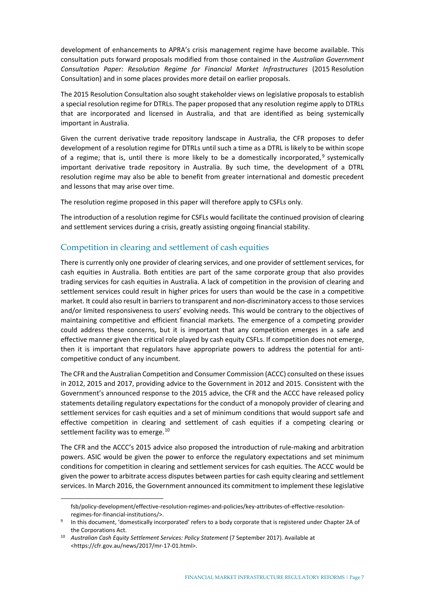development of enhancements to APRA's crisis management regime have become available. This consultation puts forward proposals modified from those contained in the *Australian Government Consultation Paper: Resolution Regime for Financial Market Infrastructures* (2015 Resolution Consultation) and in some places provides more detail on earlier proposals.

The 2015 Resolution Consultation also sought stakeholder views on legislative proposals to establish a special resolution regime for DTRLs. The paper proposed that any resolution regime apply to DTRLs that are incorporated and licensed in Australia, and that are identified as being systemically important in Australia.

Given the current derivative trade repository landscape in Australia, the CFR proposes to defer development of a resolution regime for DTRLs until such a time as a DTRL is likely to be within scope of a regime; that is, until there is more likely to be a domestically incorporated,  $9$  systemically important derivative trade repository in Australia. By such time, the development of a DTRL resolution regime may also be able to benefit from greater international and domestic precedent and lessons that may arise over time.

The resolution regime proposed in this paper will therefore apply to CSFLs only.

The introduction of a resolution regime for CSFLs would facilitate the continued provision of clearing and settlement services during a crisis, greatly assisting ongoing financial stability.

#### Competition in clearing and settlement of cash equities

There is currently only one provider of clearing services, and one provider of settlement services, for cash equities in Australia. Both entities are part of the same corporate group that also provides trading services for cash equities in Australia. A lack of competition in the provision of clearing and settlement services could result in higher prices for users than would be the case in a competitive market. It could also result in barriers to transparent and non-discriminatory accessto those services and/or limited responsiveness to users' evolving needs. This would be contrary to the objectives of maintaining competitive and efficient financial markets. The emergence of a competing provider could address these concerns, but it is important that any competition emerges in a safe and effective manner given the critical role played by cash equity CSFLs. If competition does not emerge, then it is important that regulators have appropriate powers to address the potential for anticompetitive conduct of any incumbent.

The CFR and the Australian Competition and Consumer Commission (ACCC) consulted on these issues in 2012, 2015 and 2017, providing advice to the Government in 2012 and 2015. Consistent with the Government's announced response to the 2015 advice, the CFR and the ACCC have released policy statements detailing regulatory expectations for the conduct of a monopoly provider of clearing and settlement services for cash equities and a set of minimum conditions that would support safe and effective competition in clearing and settlement of cash equities if a competing clearing or settlement facility was to emerge.<sup>[10](#page-12-1)</sup>

The CFR and the ACCC's 2015 advice also proposed the introduction of rule-making and arbitration powers. ASIC would be given the power to enforce the regulatory expectations and set minimum conditions for competition in clearing and settlement services for cash equities. The ACCC would be given the power to arbitrate access disputes between parties for cash equity clearing and settlement services. In March 2016, the Government announced its commitment to implement these legislative

[fsb/policy-development/effective-resolution-regimes-and-policies/key-attributes-of-effective-resolution-](https://www.fsb.org/work-of-the-fsb/policy-development/effective-resolution-regimes-and-policies/key-attributes-of-effective-resolution-regimes-for-financial-institutions/)

<span id="page-12-0"></span>[regimes-for-financial-institutions/>](https://www.fsb.org/work-of-the-fsb/policy-development/effective-resolution-regimes-and-policies/key-attributes-of-effective-resolution-regimes-for-financial-institutions/).<br>In this document, 'domestically incorporated' refers to a body corporate that is registered under Chapter 2A of the Corporations Act.

<span id="page-12-1"></span><sup>10</sup> *Australian Cash Equity Settlement Services: Policy Statement* (7 September 2017). Available at [<https://cfr.gov.au/news/2017/mr-17-01.html>](https://cfr.gov.au/news/2017/mr-17-01.html).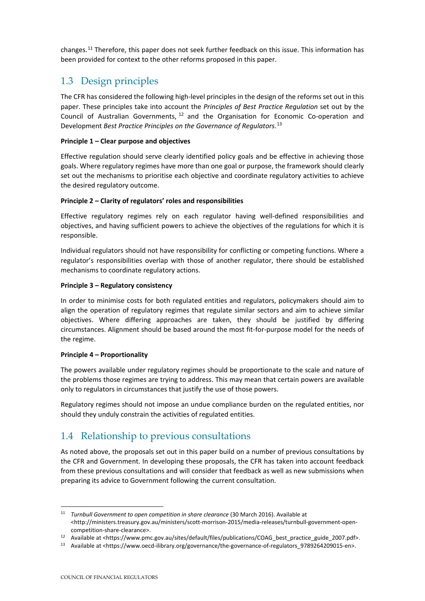changes.<sup>[11](#page-13-2)</sup> Therefore, this paper does not seek further feedback on this issue. This information has been provided for context to the other reforms proposed in this paper.

## <span id="page-13-0"></span>1.3 Design principles

The CFR has considered the following high-level principles in the design of the reforms set out in this paper. These principles take into account the *Principles of Best Practice Regulation* set out by the Council of Australian Governments,  $12$  and the Organisation for Economic Co-operation and Development *Best Practice Principles on the Governance of Regulators*. [13](#page-13-4)

#### **Principle 1 – Clear purpose and objectives**

Effective regulation should serve clearly identified policy goals and be effective in achieving those goals. Where regulatory regimes have more than one goal or purpose, the framework should clearly set out the mechanisms to prioritise each objective and coordinate regulatory activities to achieve the desired regulatory outcome.

#### **Principle 2 – Clarity of regulators' roles and responsibilities**

Effective regulatory regimes rely on each regulator having well-defined responsibilities and objectives, and having sufficient powers to achieve the objectives of the regulations for which it is responsible.

Individual regulators should not have responsibility for conflicting or competing functions. Where a regulator's responsibilities overlap with those of another regulator, there should be established mechanisms to coordinate regulatory actions.

#### **Principle 3 – Regulatory consistency**

In order to minimise costs for both regulated entities and regulators, policymakers should aim to align the operation of regulatory regimes that regulate similar sectors and aim to achieve similar objectives. Where differing approaches are taken, they should be justified by differing circumstances. Alignment should be based around the most fit-for-purpose model for the needs of the regime.

#### **Principle 4 – Proportionality**

The powers available under regulatory regimes should be proportionate to the scale and nature of the problems those regimes are trying to address. This may mean that certain powers are available only to regulators in circumstances that justify the use of those powers.

Regulatory regimes should not impose an undue compliance burden on the regulated entities, nor should they unduly constrain the activities of regulated entities.

## <span id="page-13-1"></span>1.4 Relationship to previous consultations

As noted above, the proposals set out in this paper build on a number of previous consultations by the CFR and Government. In developing these proposals, the CFR has taken into account feedback from these previous consultations and will consider that feedback as well as new submissions when preparing its advice to Government following the current consultation.

<span id="page-13-2"></span><sup>11</sup> *Turnbull Government to open competition in share clearance* (30 March 2016). Available at [<http://ministers.treasury.gov.au/ministers/scott-morrison-2015/media-releases/turnbull-government-open](http://ministers.treasury.gov.au/ministers/scott-morrison-2015/media-releases/turnbull-government-open-competition-share-clearance)[competition-share-clearance>](http://ministers.treasury.gov.au/ministers/scott-morrison-2015/media-releases/turnbull-government-open-competition-share-clearance).

<span id="page-13-3"></span><sup>12</sup> Available at [<https://www.pmc.gov.au/sites/default/files/publications/COAG\\_best\\_practice\\_guide\\_2007.pdf>](https://www.pmc.gov.au/sites/default/files/publications/COAG_best_practice_guide_2007.pdf).

<span id="page-13-4"></span><sup>13</sup> Available at [<https://www.oecd-ilibrary.org/governance/the-governance-of-regulators\\_9789264209015-en>](https://www.oecd-ilibrary.org/governance/the-governance-of-regulators_9789264209015-en).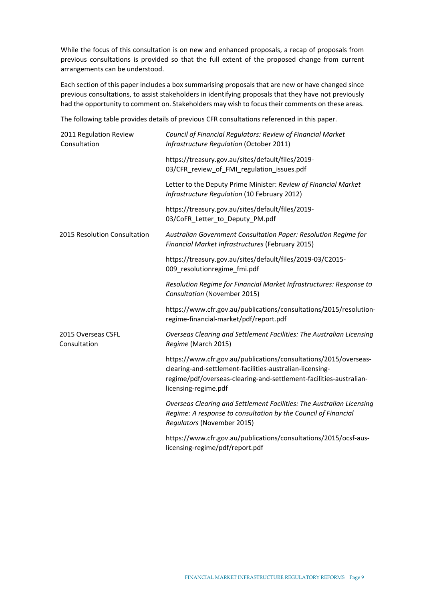While the focus of this consultation is on new and enhanced proposals, a recap of proposals from previous consultations is provided so that the full extent of the proposed change from current arrangements can be understood.

Each section of this paper includes a box summarising proposals that are new or have changed since previous consultations, to assist stakeholders in identifying proposals that they have not previously had the opportunity to comment on. Stakeholders may wish to focus their comments on these areas.

The following table provides details of previous CFR consultations referenced in this paper.

| 2011 Regulation Review<br>Consultation | Council of Financial Regulators: Review of Financial Market<br>Infrastructure Regulation (October 2011)                                                                                                                    |
|----------------------------------------|----------------------------------------------------------------------------------------------------------------------------------------------------------------------------------------------------------------------------|
|                                        | https://treasury.gov.au/sites/default/files/2019-<br>03/CFR_review_of_FMI_regulation_issues.pdf                                                                                                                            |
|                                        | Letter to the Deputy Prime Minister: Review of Financial Market<br>Infrastructure Regulation (10 February 2012)                                                                                                            |
|                                        | https://treasury.gov.au/sites/default/files/2019-<br>03/CoFR_Letter_to_Deputy_PM.pdf                                                                                                                                       |
| 2015 Resolution Consultation           | Australian Government Consultation Paper: Resolution Regime for<br>Financial Market Infrastructures (February 2015)                                                                                                        |
|                                        | https://treasury.gov.au/sites/default/files/2019-03/C2015-<br>009_resolutionregime_fmi.pdf                                                                                                                                 |
|                                        | Resolution Regime for Financial Market Infrastructures: Response to<br>Consultation (November 2015)                                                                                                                        |
|                                        | https://www.cfr.gov.au/publications/consultations/2015/resolution-<br>regime-financial-market/pdf/report.pdf                                                                                                               |
| 2015 Overseas CSFL<br>Consultation     | Overseas Clearing and Settlement Facilities: The Australian Licensing<br>Regime (March 2015)                                                                                                                               |
|                                        | https://www.cfr.gov.au/publications/consultations/2015/overseas-<br>clearing-and-settlement-facilities-australian-licensing-<br>regime/pdf/overseas-clearing-and-settlement-facilities-australian-<br>licensing-regime.pdf |
|                                        | Overseas Clearing and Settlement Facilities: The Australian Licensing<br>Regime: A response to consultation by the Council of Financial<br>Regulators (November 2015)                                                      |
|                                        | https://www.cfr.gov.au/publications/consultations/2015/ocsf-aus-<br>licensing-regime/pdf/report.pdf                                                                                                                        |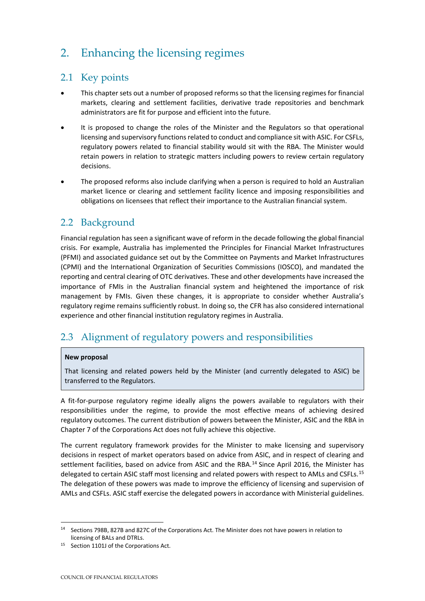## <span id="page-15-0"></span>2. Enhancing the licensing regimes

## <span id="page-15-1"></span>2.1 Key points

- This chapter sets out a number of proposed reforms so that the licensing regimes for financial markets, clearing and settlement facilities, derivative trade repositories and benchmark administrators are fit for purpose and efficient into the future.
- It is proposed to change the roles of the Minister and the Regulators so that operational licensing and supervisory functions related to conduct and compliance sit with ASIC. For CSFLs, regulatory powers related to financial stability would sit with the RBA. The Minister would retain powers in relation to strategic matters including powers to review certain regulatory decisions.
- The proposed reforms also include clarifying when a person is required to hold an Australian market licence or clearing and settlement facility licence and imposing responsibilities and obligations on licensees that reflect their importance to the Australian financial system.

## <span id="page-15-2"></span>2.2 Background

Financial regulation has seen a significant wave of reform in the decade following the global financial crisis. For example, Australia has implemented the Principles for Financial Market Infrastructures (PFMI) and associated guidance set out by the Committee on Payments and Market Infrastructures (CPMI) and the International Organization of Securities Commissions (IOSCO), and mandated the reporting and central clearing of OTC derivatives. These and other developments have increased the importance of FMIs in the Australian financial system and heightened the importance of risk management by FMIs. Given these changes, it is appropriate to consider whether Australia's regulatory regime remains sufficiently robust. In doing so, the CFR has also considered international experience and other financial institution regulatory regimes in Australia.

## <span id="page-15-3"></span>2.3 Alignment of regulatory powers and responsibilities

#### **New proposal**

That licensing and related powers held by the Minister (and currently delegated to ASIC) be transferred to the Regulators.

A fit-for-purpose regulatory regime ideally aligns the powers available to regulators with their responsibilities under the regime, to provide the most effective means of achieving desired regulatory outcomes. The current distribution of powers between the Minister, ASIC and the RBA in Chapter 7 of the Corporations Act does not fully achieve this objective.

The current regulatory framework provides for the Minister to make licensing and supervisory decisions in respect of market operators based on advice from ASIC, and in respect of clearing and settlement facilities, based on advice from ASIC and the RBA.<sup>[14](#page-15-4)</sup> Since April 2016, the Minister has delegated to certain ASIC staff most licensing and related powers with respect to AMLs and CSFLs.<sup>[15](#page-15-5)</sup> The delegation of these powers was made to improve the efficiency of licensing and supervision of AMLs and CSFLs. ASIC staff exercise the delegated powers in accordance with Ministerial guidelines.

<span id="page-15-4"></span><sup>14</sup> Sections 798B, 827B and 827C of the Corporations Act. The Minister does not have powers in relation to licensing of BALs and DTRLs.

<span id="page-15-5"></span><sup>15</sup> Section 1101J of the Corporations Act.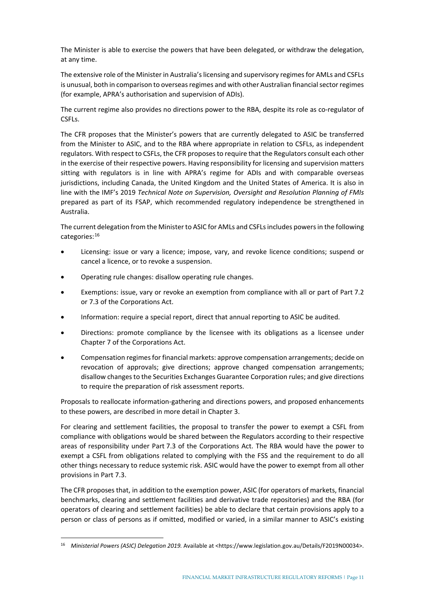The Minister is able to exercise the powers that have been delegated, or withdraw the delegation, at any time.

The extensive role of the Minister in Australia's licensing and supervisory regimesfor AMLs and CSFLs is unusual, both in comparison to overseas regimes and with other Australian financial sector regimes (for example, APRA's authorisation and supervision of ADIs).

The current regime also provides no directions power to the RBA, despite its role as co-regulator of CSFLs.

The CFR proposes that the Minister's powers that are currently delegated to ASIC be transferred from the Minister to ASIC, and to the RBA where appropriate in relation to CSFLs, as independent regulators. With respect to CSFLs, the CFR proposes to require that the Regulators consult each other in the exercise of their respective powers. Having responsibility for licensing and supervision matters sitting with regulators is in line with APRA's regime for ADIs and with comparable overseas jurisdictions, including Canada, the United Kingdom and the United States of America. It is also in line with the IMF's 2019 *Technical Note on Supervision, Oversight and Resolution Planning of FMIs* prepared as part of its FSAP, which recommended regulatory independence be strengthened in Australia.

The current delegation from the Minister to ASIC for AMLs and CSFLs includes powers in the following categories:[16](#page-16-0)

- Licensing: issue or vary a licence; impose, vary, and revoke licence conditions; suspend or cancel a licence, or to revoke a suspension.
- Operating rule changes: disallow operating rule changes.
- Exemptions: issue, vary or revoke an exemption from compliance with all or part of Part 7.2 or 7.3 of the Corporations Act.
- Information: require a special report, direct that annual reporting to ASIC be audited.
- Directions: promote compliance by the licensee with its obligations as a licensee under Chapter 7 of the Corporations Act.
- Compensation regimes for financial markets: approve compensation arrangements; decide on revocation of approvals; give directions; approve changed compensation arrangements; disallow changes to the Securities Exchanges Guarantee Corporation rules; and give directions to require the preparation of risk assessment reports.

Proposals to reallocate information-gathering and directions powers, and proposed enhancements to these powers, are described in more detail in Chapter 3.

For clearing and settlement facilities, the proposal to transfer the power to exempt a CSFL from compliance with obligations would be shared between the Regulators according to their respective areas of responsibility under Part 7.3 of the Corporations Act. The RBA would have the power to exempt a CSFL from obligations related to complying with the FSS and the requirement to do all other things necessary to reduce systemic risk. ASIC would have the power to exempt from all other provisions in Part 7.3.

The CFR proposes that, in addition to the exemption power, ASIC (for operators of markets, financial benchmarks, clearing and settlement facilities and derivative trade repositories) and the RBA (for operators of clearing and settlement facilities) be able to declare that certain provisions apply to a person or class of persons as if omitted, modified or varied, in a similar manner to ASIC's existing

<span id="page-16-0"></span><sup>16</sup> *Ministerial Powers (ASIC) Delegation 2019.* Available at [<https://www.legislation.gov.au/Details/F2019N00034>](https://www.legislation.gov.au/Details/F2019N00034).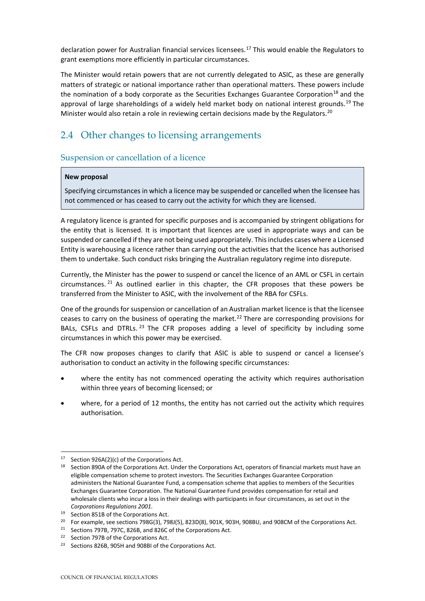declaration power for Australian financial services licensees.<sup>[17](#page-17-1)</sup> This would enable the Regulators to grant exemptions more efficiently in particular circumstances.

The Minister would retain powers that are not currently delegated to ASIC, as these are generally matters of strategic or national importance rather than operational matters. These powers include the nomination of a body corporate as the Securities Exchanges Guarantee Corporation<sup>[18](#page-17-2)</sup> and the approval of large shareholdings of a widely held market body on national interest grounds.<sup>[19](#page-17-3)</sup> The Minister would also retain a role in reviewing certain decisions made by the Regulators.<sup>[20](#page-17-4)</sup>

## <span id="page-17-0"></span>2.4 Other changes to licensing arrangements

#### Suspension or cancellation of a licence

#### **New proposal**

Specifying circumstances in which a licence may be suspended or cancelled when the licensee has not commenced or has ceased to carry out the activity for which they are licensed.

A regulatory licence is granted for specific purposes and is accompanied by stringent obligations for the entity that is licensed. It is important that licences are used in appropriate ways and can be suspended or cancelled if they are not being used appropriately. This includes cases where a Licensed Entity is warehousing a licence rather than carrying out the activities that the licence has authorised them to undertake. Such conduct risks bringing the Australian regulatory regime into disrepute.

Currently, the Minister has the power to suspend or cancel the licence of an AML or CSFL in certain circumstances. <sup>[21](#page-17-5)</sup> As outlined earlier in this chapter, the CFR proposes that these powers be transferred from the Minister to ASIC, with the involvement of the RBA for CSFLs.

One of the grounds for suspension or cancellation of an Australian market licence is that the licensee ceases to carry on the business of operating the market.<sup>[22](#page-17-6)</sup> There are corresponding provisions for BALs, CSFLs and DTRLs. <sup>[23](#page-17-7)</sup> The CFR proposes adding a level of specificity by including some circumstances in which this power may be exercised.

The CFR now proposes changes to clarify that ASIC is able to suspend or cancel a licensee's authorisation to conduct an activity in the following specific circumstances:

- where the entity has not commenced operating the activity which requires authorisation within three years of becoming licensed; or
- where, for a period of 12 months, the entity has not carried out the activity which requires authorisation.

<span id="page-17-2"></span><span id="page-17-1"></span><sup>17</sup> Section 926A(2)(c) of the Corporations Act.

<sup>&</sup>lt;sup>18</sup> Section 890A of the Corporations Act. Under the Corporations Act, operators of financial markets must have an eligible compensation scheme to protect investors. The Securities Exchanges Guarantee Corporation administers the National Guarantee Fund, a compensation scheme that applies to members of the Securities Exchanges Guarantee Corporation. The National Guarantee Fund provides compensation for retail and wholesale clients who incur a loss in their dealings with participants in four circumstances, as set out in the *Corporations Regulations 2001*.

<span id="page-17-3"></span><sup>19</sup> Section 851B of the Corporations Act.

<span id="page-17-4"></span><sup>&</sup>lt;sup>20</sup> For example, see sections 798G(3), 798J(5), 823D(8), 901K, 903H, 908BU, and 908CM of the Corporations Act.

<span id="page-17-5"></span><sup>21</sup> Sections 797B, 797C, 826B, and 826C of the Corporations Act.

<span id="page-17-6"></span><sup>22</sup> Section 797B of the Corporations Act.

<span id="page-17-7"></span><sup>23</sup> Sections 826B, 905H and 908BI of the Corporations Act.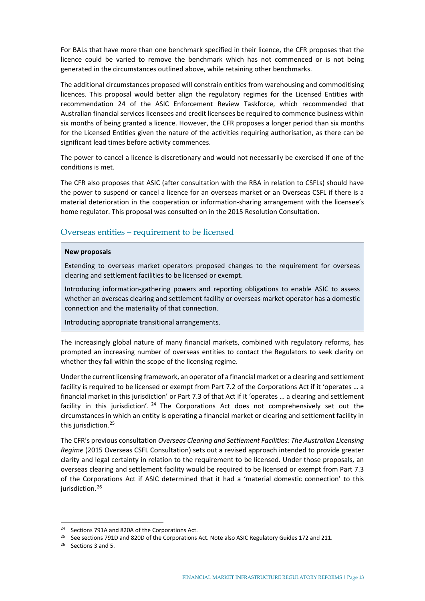For BALs that have more than one benchmark specified in their licence, the CFR proposes that the licence could be varied to remove the benchmark which has not commenced or is not being generated in the circumstances outlined above, while retaining other benchmarks.

The additional circumstances proposed will constrain entities from warehousing and commoditising licences. This proposal would better align the regulatory regimes for the Licensed Entities with recommendation 24 of the ASIC Enforcement Review Taskforce, which recommended that Australian financial services licensees and credit licensees be required to commence business within six months of being granted a licence. However, the CFR proposes a longer period than six months for the Licensed Entities given the nature of the activities requiring authorisation, as there can be significant lead times before activity commences.

The power to cancel a licence is discretionary and would not necessarily be exercised if one of the conditions is met.

The CFR also proposes that ASIC (after consultation with the RBA in relation to CSFLs) should have the power to suspend or cancel a licence for an overseas market or an Overseas CSFL if there is a material deterioration in the cooperation or information-sharing arrangement with the licensee's home regulator. This proposal was consulted on in the 2015 Resolution Consultation.

#### Overseas entities – requirement to be licensed

#### **New proposals**

Extending to overseas market operators proposed changes to the requirement for overseas clearing and settlement facilities to be licensed or exempt.

Introducing information-gathering powers and reporting obligations to enable ASIC to assess whether an overseas clearing and settlement facility or overseas market operator has a domestic connection and the materiality of that connection.

Introducing appropriate transitional arrangements.

The increasingly global nature of many financial markets, combined with regulatory reforms, has prompted an increasing number of overseas entities to contact the Regulators to seek clarity on whether they fall within the scope of the licensing regime.

Under the current licensing framework, an operator of a financial market or a clearing and settlement facility is required to be licensed or exempt from Part 7.2 of the Corporations Act if it 'operates … a financial market in this jurisdiction' or Part 7.3 of that Act if it 'operates … a clearing and settlement facility in this jurisdiction'.  $24$  The Corporations Act does not comprehensively set out the circumstances in which an entity is operating a financial market or clearing and settlement facility in this jurisdiction.[25](#page-18-1)

The CFR's previous consultation *Overseas Clearing and Settlement Facilities: The Australian Licensing Regime* (2015 Overseas CSFL Consultation) sets out a revised approach intended to provide greater clarity and legal certainty in relation to the requirement to be licensed. Under those proposals, an overseas clearing and settlement facility would be required to be licensed or exempt from Part 7.3 of the Corporations Act if ASIC determined that it had a 'material domestic connection' to this jurisdiction.<sup>[26](#page-18-2)</sup>

<span id="page-18-0"></span><sup>24</sup> Sections 791A and 820A of the Corporations Act.

<span id="page-18-1"></span><sup>&</sup>lt;sup>25</sup> See sections 791D and 820D of the Corporations Act. Note also ASIC Regulatory Guides 172 and 211.

<span id="page-18-2"></span><sup>26</sup> Sections 3 and 5.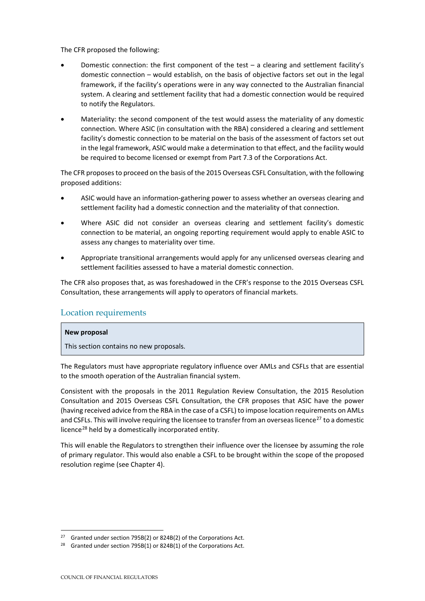The CFR proposed the following:

- Domestic connection: the first component of the test  $-$  a clearing and settlement facility's domestic connection – would establish, on the basis of objective factors set out in the legal framework, if the facility's operations were in any way connected to the Australian financial system. A clearing and settlement facility that had a domestic connection would be required to notify the Regulators.
- Materiality: the second component of the test would assess the materiality of any domestic connection. Where ASIC (in consultation with the RBA) considered a clearing and settlement facility's domestic connection to be material on the basis of the assessment of factors set out in the legal framework, ASIC would make a determination to that effect, and the facility would be required to become licensed or exempt from Part 7.3 of the Corporations Act.

The CFR proposes to proceed on the basis of the 2015 Overseas CSFL Consultation, with the following proposed additions:

- ASIC would have an information-gathering power to assess whether an overseas clearing and settlement facility had a domestic connection and the materiality of that connection.
- Where ASIC did not consider an overseas clearing and settlement facility's domestic connection to be material, an ongoing reporting requirement would apply to enable ASIC to assess any changes to materiality over time.
- Appropriate transitional arrangements would apply for any unlicensed overseas clearing and settlement facilities assessed to have a material domestic connection.

The CFR also proposes that, as was foreshadowed in the CFR's response to the 2015 Overseas CSFL Consultation, these arrangements will apply to operators of financial markets.

#### Location requirements

#### **New proposal**

This section contains no new proposals.

The Regulators must have appropriate regulatory influence over AMLs and CSFLs that are essential to the smooth operation of the Australian financial system.

Consistent with the proposals in the 2011 Regulation Review Consultation, the 2015 Resolution Consultation and 2015 Overseas CSFL Consultation, the CFR proposes that ASIC have the power (having received advice from the RBA in the case of a CSFL) to impose location requirements on AMLs and CSFLs. This will involve requiring the licensee to transfer from an overseas licence<sup>[27](#page-19-0)</sup> to a domestic licence<sup>[28](#page-19-1)</sup> held by a domestically incorporated entity.

This will enable the Regulators to strengthen their influence over the licensee by assuming the role of primary regulator. This would also enable a CSFL to be brought within the scope of the proposed resolution regime (see Chapter 4).

<span id="page-19-0"></span><sup>&</sup>lt;sup>27</sup> Granted under section 795B(2) or 824B(2) of the Corporations Act.

<span id="page-19-1"></span><sup>&</sup>lt;sup>28</sup> Granted under section 795B(1) or 824B(1) of the Corporations Act.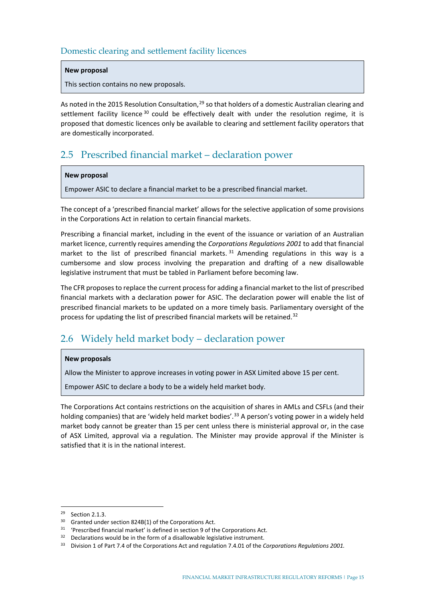### Domestic clearing and settlement facility licences

#### **New proposal**

This section contains no new proposals.

As noted in the 2015 Resolution Consultation, <sup>[29](#page-20-2)</sup> so that holders of a domestic Australian clearing and settlement facility licence<sup>[30](#page-20-3)</sup> could be effectively dealt with under the resolution regime, it is proposed that domestic licences only be available to clearing and settlement facility operators that are domestically incorporated.

## <span id="page-20-0"></span>2.5 Prescribed financial market – declaration power

#### **New proposal**

Empower ASIC to declare a financial market to be a prescribed financial market.

The concept of a 'prescribed financial market' allows for the selective application of some provisions in the Corporations Act in relation to certain financial markets.

Prescribing a financial market, including in the event of the issuance or variation of an Australian market licence, currently requires amending the *Corporations Regulations 2001* to add that financial market to the list of prescribed financial markets.  $31$  Amending regulations in this way is a cumbersome and slow process involving the preparation and drafting of a new disallowable legislative instrument that must be tabled in Parliament before becoming law.

The CFR proposes to replace the current process for adding a financial market to the list of prescribed financial markets with a declaration power for ASIC. The declaration power will enable the list of prescribed financial markets to be updated on a more timely basis. Parliamentary oversight of the process for updating the list of prescribed financial markets will be retained.<sup>[32](#page-20-5)</sup>

## <span id="page-20-1"></span>2.6 Widely held market body – declaration power

#### **New proposals**

Allow the Minister to approve increases in voting power in ASX Limited above 15 per cent.

Empower ASIC to declare a body to be a widely held market body.

The Corporations Act contains restrictions on the acquisition of shares in AMLs and CSFLs (and their holding companies) that are 'widely held market bodies'.<sup>[33](#page-20-6)</sup> A person's voting power in a widely held market body cannot be greater than 15 per cent unless there is ministerial approval or, in the case of ASX Limited, approval via a regulation. The Minister may provide approval if the Minister is satisfied that it is in the national interest.

<span id="page-20-2"></span><sup>29</sup> Section 2.1.3.

<span id="page-20-3"></span><sup>30</sup> Granted under section 824B(1) of the Corporations Act.

<span id="page-20-4"></span><sup>&</sup>lt;sup>31</sup> 'Prescribed financial market' is defined in section 9 of the Corporations Act.

<span id="page-20-5"></span><sup>&</sup>lt;sup>32</sup> Declarations would be in the form of a disallowable legislative instrument.

<span id="page-20-6"></span><sup>33</sup> Division 1 of Part 7.4 of the Corporations Act and regulation 7.4.01 of the *Corporations Regulations 2001.*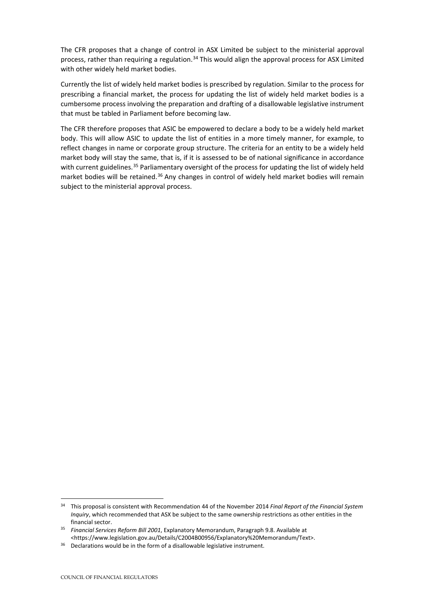The CFR proposes that a change of control in ASX Limited be subject to the ministerial approval process, rather than requiring a regulation.<sup>[34](#page-21-0)</sup> This would align the approval process for ASX Limited with other widely held market bodies.

Currently the list of widely held market bodies is prescribed by regulation. Similar to the process for prescribing a financial market, the process for updating the list of widely held market bodies is a cumbersome process involving the preparation and drafting of a disallowable legislative instrument that must be tabled in Parliament before becoming law.

The CFR therefore proposes that ASIC be empowered to declare a body to be a widely held market body. This will allow ASIC to update the list of entities in a more timely manner, for example, to reflect changes in name or corporate group structure. The criteria for an entity to be a widely held market body will stay the same, that is, if it is assessed to be of national significance in accordance with current guidelines.<sup>[35](#page-21-1)</sup> Parliamentary oversight of the process for updating the list of widely held market bodies will be retained.<sup>[36](#page-21-2)</sup> Any changes in control of widely held market bodies will remain subject to the ministerial approval process.

<span id="page-21-0"></span><sup>34</sup> This proposal is consistent with Recommendation 44 of the November 2014 *Final Report of the Financial System Inquiry*, which recommended that ASX be subject to the same ownership restrictions as other entities in the financial sector.

<span id="page-21-1"></span><sup>35</sup> *Financial Services Reform Bill 2001*, Explanatory Memorandum, Paragraph 9.8. Available at [<https://www.legislation.gov.au/Details/C2004B00956/Explanatory%20Memorandum/Text>](https://www.legislation.gov.au/Details/C2004B00956/Explanatory%20Memorandum/Text).

<span id="page-21-2"></span><sup>&</sup>lt;sup>36</sup> Declarations would be in the form of a disallowable legislative instrument.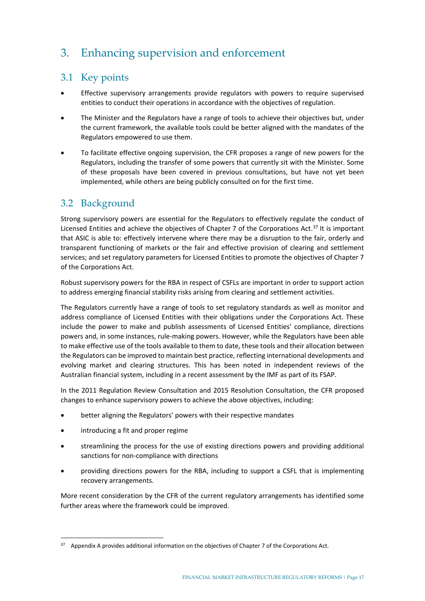## <span id="page-22-0"></span>3. Enhancing supervision and enforcement

## <span id="page-22-1"></span>3.1 Key points

- Effective supervisory arrangements provide regulators with powers to require supervised entities to conduct their operations in accordance with the objectives of regulation.
- The Minister and the Regulators have a range of tools to achieve their objectives but, under the current framework, the available tools could be better aligned with the mandates of the Regulators empowered to use them.
- To facilitate effective ongoing supervision, the CFR proposes a range of new powers for the Regulators, including the transfer of some powers that currently sit with the Minister. Some of these proposals have been covered in previous consultations, but have not yet been implemented, while others are being publicly consulted on for the first time.

## <span id="page-22-2"></span>3.2 Background

Strong supervisory powers are essential for the Regulators to effectively regulate the conduct of Licensed Entities and achieve the objectives of Chapter 7 of the Corporations Act.<sup>[37](#page-22-3)</sup> It is important that ASIC is able to: effectively intervene where there may be a disruption to the fair, orderly and transparent functioning of markets or the fair and effective provision of clearing and settlement services; and set regulatory parameters for Licensed Entities to promote the objectives of Chapter 7 of the Corporations Act.

Robust supervisory powers for the RBA in respect of CSFLs are important in order to support action to address emerging financial stability risks arising from clearing and settlement activities.

The Regulators currently have a range of tools to set regulatory standards as well as monitor and address compliance of Licensed Entities with their obligations under the Corporations Act. These include the power to make and publish assessments of Licensed Entities' compliance, directions powers and, in some instances, rule-making powers. However, while the Regulators have been able to make effective use of the tools available to them to date, these tools and their allocation between the Regulators can be improved to maintain best practice, reflecting international developments and evolving market and clearing structures. This has been noted in independent reviews of the Australian financial system, including in a recent assessment by the IMF as part of its FSAP.

In the 2011 Regulation Review Consultation and 2015 Resolution Consultation, the CFR proposed changes to enhance supervisory powers to achieve the above objectives, including:

- better aligning the Regulators' powers with their respective mandates
- introducing a fit and proper regime
- streamlining the process for the use of existing directions powers and providing additional sanctions for non-compliance with directions
- providing directions powers for the RBA, including to support a CSFL that is implementing recovery arrangements.

More recent consideration by the CFR of the current regulatory arrangements has identified some further areas where the framework could be improved.

<span id="page-22-3"></span><sup>&</sup>lt;sup>37</sup> Appendix A provides additional information on the objectives of Chapter 7 of the Corporations Act.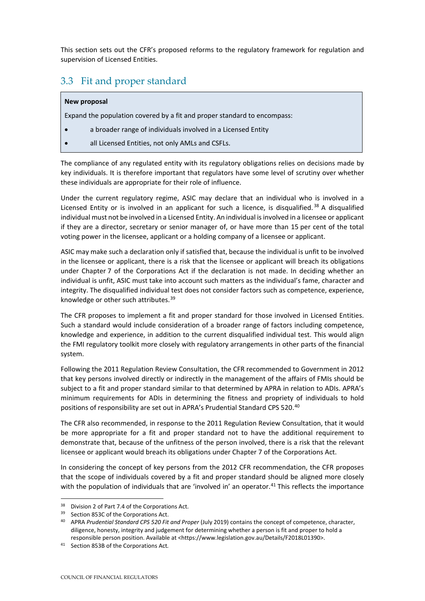This section sets out the CFR's proposed reforms to the regulatory framework for regulation and supervision of Licensed Entities.

## <span id="page-23-0"></span>3.3 Fit and proper standard

#### **New proposal**

Expand the population covered by a fit and proper standard to encompass:

- a broader range of individuals involved in a Licensed Entity
- all Licensed Entities, not only AMLs and CSFLs.

The compliance of any regulated entity with its regulatory obligations relies on decisions made by key individuals. It is therefore important that regulators have some level of scrutiny over whether these individuals are appropriate for their role of influence.

Under the current regulatory regime, ASIC may declare that an individual who is involved in a Licensed Entity or is involved in an applicant for such a licence, is disqualified.<sup>[38](#page-23-1)</sup> A disqualified individual must not be involved in a Licensed Entity. An individual is involved in a licensee or applicant if they are a director, secretary or senior manager of, or have more than 15 per cent of the total voting power in the licensee, applicant or a holding company of a licensee or applicant.

ASIC may make such a declaration only if satisfied that, because the individual is unfit to be involved in the licensee or applicant, there is a risk that the licensee or applicant will breach its obligations under Chapter 7 of the Corporations Act if the declaration is not made. In deciding whether an individual is unfit, ASIC must take into account such matters as the individual's fame, character and integrity. The disqualified individual test does not consider factors such as competence, experience, knowledge or other such attributes.<sup>[39](#page-23-2)</sup>

The CFR proposes to implement a fit and proper standard for those involved in Licensed Entities. Such a standard would include consideration of a broader range of factors including competence, knowledge and experience, in addition to the current disqualified individual test. This would align the FMI regulatory toolkit more closely with regulatory arrangements in other parts of the financial system.

Following the 2011 Regulation Review Consultation, the CFR recommended to Government in 2012 that key persons involved directly or indirectly in the management of the affairs of FMIs should be subject to a fit and proper standard similar to that determined by APRA in relation to ADIs. APRA's minimum requirements for ADIs in determining the fitness and propriety of individuals to hold positions of responsibility are set out in APRA's Prudential Standard CPS 520.<sup>[40](#page-23-3)</sup>

The CFR also recommended, in response to the 2011 Regulation Review Consultation, that it would be more appropriate for a fit and proper standard not to have the additional requirement to demonstrate that, because of the unfitness of the person involved, there is a risk that the relevant licensee or applicant would breach its obligations under Chapter 7 of the Corporations Act.

In considering the concept of key persons from the 2012 CFR recommendation, the CFR proposes that the scope of individuals covered by a fit and proper standard should be aligned more closely with the population of individuals that are 'involved in' an operator.<sup>[41](#page-23-4)</sup> This reflects the importance

<span id="page-23-1"></span> $38$  Division 2 of Part 7.4 of the Corporations Act.<br> $39$  Section 853C of the Corporations Act.

<span id="page-23-3"></span><span id="page-23-2"></span><sup>&</sup>lt;sup>40</sup> APRA Prudential Standard CPS 520 Fit and Proper (July 2019) contains the concept of competence, character, diligence, honesty, integrity and judgement for determining whether a person is fit and proper to hold a responsible person position. Available at <https://www.legislation.gov.au/Details/F2018L01390>.

<span id="page-23-4"></span><sup>41</sup> Section 853B of the Corporations Act*.*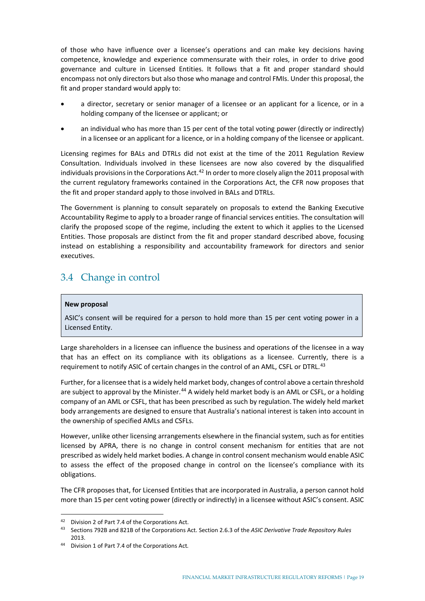of those who have influence over a licensee's operations and can make key decisions having competence, knowledge and experience commensurate with their roles, in order to drive good governance and culture in Licensed Entities. It follows that a fit and proper standard should encompass not only directors but also those who manage and control FMIs. Under this proposal, the fit and proper standard would apply to:

- a director, secretary or senior manager of a licensee or an applicant for a licence, or in a holding company of the licensee or applicant; or
- an individual who has more than 15 per cent of the total voting power (directly or indirectly) in a licensee or an applicant for a licence, or in a holding company of the licensee or applicant.

Licensing regimes for BALs and DTRLs did not exist at the time of the 2011 Regulation Review Consultation. Individuals involved in these licensees are now also covered by the disqualified individuals provisions in the Corporations Act.<sup>[42](#page-24-1)</sup> In order to more closely align the 2011 proposal with the current regulatory frameworks contained in the Corporations Act, the CFR now proposes that the fit and proper standard apply to those involved in BALs and DTRLs.

The Government is planning to consult separately on proposals to extend the Banking Executive Accountability Regime to apply to a broader range of financial services entities. The consultation will clarify the proposed scope of the regime, including the extent to which it applies to the Licensed Entities. Those proposals are distinct from the fit and proper standard described above, focusing instead on establishing a responsibility and accountability framework for directors and senior executives.

## <span id="page-24-0"></span>3.4 Change in control

#### **New proposal**

ASIC's consent will be required for a person to hold more than 15 per cent voting power in a Licensed Entity.

Large shareholders in a licensee can influence the business and operations of the licensee in a way that has an effect on its compliance with its obligations as a licensee. Currently, there is a requirement to notify ASIC of certain changes in the control of an AML, CSFL or DTRL.<sup>[43](#page-24-2)</sup>

Further, for a licensee that is a widely held market body, changes of control above a certain threshold are subject to approval by the Minister.<sup>[44](#page-24-3)</sup> A widely held market body is an AML or CSFL, or a holding company of an AML or CSFL, that has been prescribed as such by regulation. The widely held market body arrangements are designed to ensure that Australia's national interest is taken into account in the ownership of specified AMLs and CSFLs.

However, unlike other licensing arrangements elsewhere in the financial system, such as for entities licensed by APRA, there is no change in control consent mechanism for entities that are not prescribed as widely held market bodies. A change in control consent mechanism would enable ASIC to assess the effect of the proposed change in control on the licensee's compliance with its obligations.

The CFR proposes that, for Licensed Entities that are incorporated in Australia, a person cannot hold more than 15 per cent voting power (directly or indirectly) in a licensee without ASIC's consent. ASIC

<span id="page-24-1"></span><sup>42</sup> Division 2 of Part 7.4 of the Corporations Act.

<span id="page-24-2"></span><sup>43</sup> Sections 792B and 821B of the Corporations Act. Section 2.6.3 of the *ASIC Derivative Trade Repository Rules* 2013.

<span id="page-24-3"></span><sup>44</sup> Division 1 of Part 7.4 of the Corporations Act*.*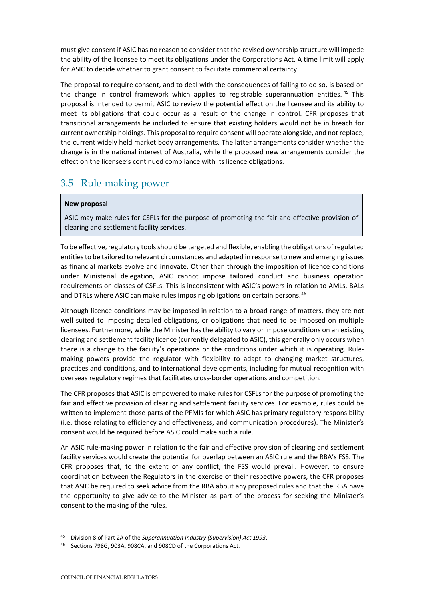must give consent if ASIC has no reason to consider that the revised ownership structure will impede the ability of the licensee to meet its obligations under the Corporations Act. A time limit will apply for ASIC to decide whether to grant consent to facilitate commercial certainty.

The proposal to require consent, and to deal with the consequences of failing to do so, is based on the change in control framework which applies to registrable superannuation entities.<sup>[45](#page-25-1)</sup> This proposal is intended to permit ASIC to review the potential effect on the licensee and its ability to meet its obligations that could occur as a result of the change in control. CFR proposes that transitional arrangements be included to ensure that existing holders would not be in breach for current ownership holdings. This proposal to require consent will operate alongside, and not replace, the current widely held market body arrangements. The latter arrangements consider whether the change is in the national interest of Australia, while the proposed new arrangements consider the effect on the licensee's continued compliance with its licence obligations.

## <span id="page-25-0"></span>3.5 Rule-making power

#### **New proposal**

ASIC may make rules for CSFLs for the purpose of promoting the fair and effective provision of clearing and settlement facility services.

To be effective, regulatory tools should be targeted and flexible, enabling the obligations of regulated entities to be tailored to relevant circumstances and adapted in response to new and emerging issues as financial markets evolve and innovate. Other than through the imposition of licence conditions under Ministerial delegation, ASIC cannot impose tailored conduct and business operation requirements on classes of CSFLs. This is inconsistent with ASIC's powers in relation to AMLs, BALs and DTRLs where ASIC can make rules imposing obligations on certain persons.<sup>[46](#page-25-2)</sup>

Although licence conditions may be imposed in relation to a broad range of matters, they are not well suited to imposing detailed obligations, or obligations that need to be imposed on multiple licensees. Furthermore, while the Minister has the ability to vary or impose conditions on an existing clearing and settlement facility licence (currently delegated to ASIC), this generally only occurs when there is a change to the facility's operations or the conditions under which it is operating. Rulemaking powers provide the regulator with flexibility to adapt to changing market structures, practices and conditions, and to international developments, including for mutual recognition with overseas regulatory regimes that facilitates cross-border operations and competition.

The CFR proposes that ASIC is empowered to make rules for CSFLs for the purpose of promoting the fair and effective provision of clearing and settlement facility services. For example, rules could be written to implement those parts of the PFMIs for which ASIC has primary regulatory responsibility (i.e. those relating to efficiency and effectiveness, and communication procedures). The Minister's consent would be required before ASIC could make such a rule.

An ASIC rule-making power in relation to the fair and effective provision of clearing and settlement facility services would create the potential for overlap between an ASIC rule and the RBA's FSS. The CFR proposes that, to the extent of any conflict, the FSS would prevail. However, to ensure coordination between the Regulators in the exercise of their respective powers, the CFR proposes that ASIC be required to seek advice from the RBA about any proposed rules and that the RBA have the opportunity to give advice to the Minister as part of the process for seeking the Minister's consent to the making of the rules.

<span id="page-25-1"></span><sup>45</sup> Division 8 of Part 2A of the *Superannuation Industry (Supervision) Act 1993*.

<span id="page-25-2"></span>Sections 798G, 903A, 908CA, and 908CD of the Corporations Act.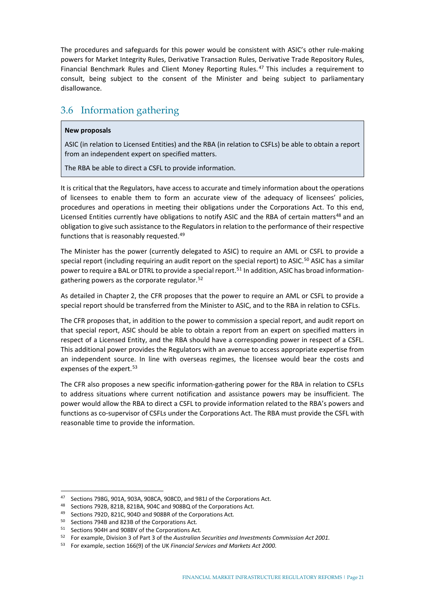The procedures and safeguards for this power would be consistent with ASIC's other rule-making powers for Market Integrity Rules, Derivative Transaction Rules, Derivative Trade Repository Rules, Financial Benchmark Rules and Client Money Reporting Rules. [47](#page-26-1) This includes a requirement to consult, being subject to the consent of the Minister and being subject to parliamentary disallowance.

## <span id="page-26-0"></span>3.6 Information gathering

#### **New proposals**

ASIC (in relation to Licensed Entities) and the RBA (in relation to CSFLs) be able to obtain a report from an independent expert on specified matters.

The RBA be able to direct a CSFL to provide information.

It is critical that the Regulators, have access to accurate and timely information about the operations of licensees to enable them to form an accurate view of the adequacy of licensees' policies, procedures and operations in meeting their obligations under the Corporations Act. To this end, Licensed Entities currently have obligations to notify ASIC and the RBA of certain matters<sup>[48](#page-26-2)</sup> and an obligation to give such assistance to the Regulators in relation to the performance of their respective functions that is reasonably requested.<sup>[49](#page-26-3)</sup>

The Minister has the power (currently delegated to ASIC) to require an AML or CSFL to provide a special report (including requiring an audit report on the special report) to ASIC.<sup>[50](#page-26-4)</sup> ASIC has a similar power to require a BAL or DTRL to provide a special report.<sup>[51](#page-26-5)</sup> In addition, ASIC has broad information-gathering powers as the corporate regulator.<sup>[52](#page-26-6)</sup>

As detailed in Chapter 2, the CFR proposes that the power to require an AML or CSFL to provide a special report should be transferred from the Minister to ASIC, and to the RBA in relation to CSFLs.

The CFR proposes that, in addition to the power to commission a special report, and audit report on that special report, ASIC should be able to obtain a report from an expert on specified matters in respect of a Licensed Entity, and the RBA should have a corresponding power in respect of a CSFL. This additional power provides the Regulators with an avenue to access appropriate expertise from an independent source. In line with overseas regimes, the licensee would bear the costs and expenses of the expert.<sup>[53](#page-26-7)</sup>

The CFR also proposes a new specific information-gathering power for the RBA in relation to CSFLs to address situations where current notification and assistance powers may be insufficient. The power would allow the RBA to direct a CSFL to provide information related to the RBA's powers and functions as co-supervisor of CSFLs under the Corporations Act. The RBA must provide the CSFL with reasonable time to provide the information.

<span id="page-26-1"></span><sup>47</sup> Sections 798G, 901A, 903A, 908CA, 908CD, and 981J of the Corporations Act.

<span id="page-26-2"></span><sup>48</sup> Sections 792B, 821B, 821BA, 904C and 908BQ of the Corporations Act.

<span id="page-26-3"></span><sup>49</sup> Sections 792D, 821C, 904D and 908BR of the Corporations Act*.*

<sup>50</sup> Sections 794B and 823B of the Corporations Act*.* 

<span id="page-26-5"></span><span id="page-26-4"></span><sup>51</sup> Sections 904H and 908BV of the Corporations Act*.*

<span id="page-26-6"></span><sup>52</sup> For example, Division 3 of Part 3 of the *Australian Securities and Investments Commission Act 2001.*

<span id="page-26-7"></span><sup>53</sup> For example, section 166(9) of the UK *Financial Services and Markets Act 2000*.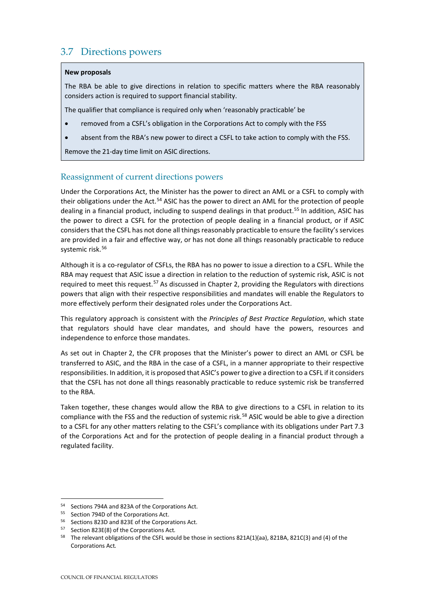## <span id="page-27-0"></span>3.7 Directions powers

#### **New proposals**

The RBA be able to give directions in relation to specific matters where the RBA reasonably considers action is required to support financial stability.

The qualifier that compliance is required only when 'reasonably practicable' be

- removed from a CSFL's obligation in the Corporations Act to comply with the FSS
- absent from the RBA's new power to direct a CSFL to take action to comply with the FSS.

Remove the 21-day time limit on ASIC directions.

#### Reassignment of current directions powers

Under the Corporations Act, the Minister has the power to direct an AML or a CSFL to comply with their obligations under the Act.<sup>[54](#page-27-1)</sup> ASIC has the power to direct an AML for the protection of people dealing in a financial product, including to suspend dealings in that product.<sup>[55](#page-27-2)</sup> In addition, ASIC has the power to direct a CSFL for the protection of people dealing in a financial product, or if ASIC considers that the CSFL has not done all things reasonably practicable to ensure the facility's services are provided in a fair and effective way, or has not done all things reasonably practicable to reduce systemic risk.<sup>[56](#page-27-3)</sup>

Although it is a co-regulator of CSFLs, the RBA has no power to issue a direction to a CSFL. While the RBA may request that ASIC issue a direction in relation to the reduction of systemic risk, ASIC is not required to meet this request.<sup>[57](#page-27-4)</sup> As discussed in Chapter 2, providing the Regulators with directions powers that align with their respective responsibilities and mandates will enable the Regulators to more effectively perform their designated roles under the Corporations Act.

This regulatory approach is consistent with the *Principles of Best Practice Regulation*, which state that regulators should have clear mandates, and should have the powers, resources and independence to enforce those mandates.

As set out in Chapter 2, the CFR proposes that the Minister's power to direct an AML or CSFL be transferred to ASIC, and the RBA in the case of a CSFL, in a manner appropriate to their respective responsibilities. In addition, it is proposed that ASIC's power to give a direction to a CSFL if it considers that the CSFL has not done all things reasonably practicable to reduce systemic risk be transferred to the RBA.

Taken together, these changes would allow the RBA to give directions to a CSFL in relation to its compliance with the FSS and the reduction of systemic risk.<sup>[58](#page-27-5)</sup> ASIC would be able to give a direction to a CSFL for any other matters relating to the CSFL's compliance with its obligations under Part 7.3 of the Corporations Act and for the protection of people dealing in a financial product through a regulated facility.

<span id="page-27-1"></span><sup>54</sup> Sections 794A and 823A of the Corporations Act.

<span id="page-27-2"></span><sup>55</sup> Section 794D of the Corporations Act.

<span id="page-27-4"></span><span id="page-27-3"></span><sup>56</sup> Sections 823D and 823E of the Corporations Act.

<sup>57</sup> Section 823E(8) of the Corporations Act*.*

<span id="page-27-5"></span><sup>58</sup> The relevant obligations of the CSFL would be those in sections 821A(1)(aa), 821BA, 821C(3) and (4) of the Corporations Act*.*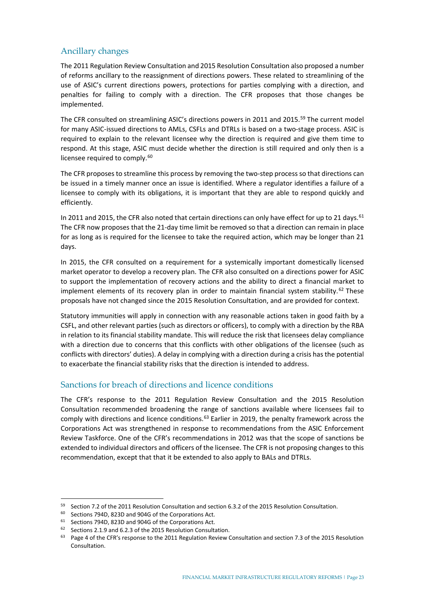### Ancillary changes

The 2011 Regulation Review Consultation and 2015 Resolution Consultation also proposed a number of reforms ancillary to the reassignment of directions powers. These related to streamlining of the use of ASIC's current directions powers, protections for parties complying with a direction, and penalties for failing to comply with a direction. The CFR proposes that those changes be implemented.

The CFR consulted on streamlining ASIC's directions powers in 2011 and 2015.[59](#page-28-0) The current model for many ASIC-issued directions to AMLs, CSFLs and DTRLs is based on a two-stage process. ASIC is required to explain to the relevant licensee why the direction is required and give them time to respond. At this stage, ASIC must decide whether the direction is still required and only then is a licensee required to comply.<sup>[60](#page-28-1)</sup>

The CFR proposes to streamline this process by removing the two-step process so that directions can be issued in a timely manner once an issue is identified. Where a regulator identifies a failure of a licensee to comply with its obligations, it is important that they are able to respond quickly and efficiently.

In 2011 and 2015, the CFR also noted that certain directions can only have effect for up to 21 days.  $61$ The CFR now proposes that the 21-day time limit be removed so that a direction can remain in place for as long as is required for the licensee to take the required action, which may be longer than 21 days.

In 2015, the CFR consulted on a requirement for a systemically important domestically licensed market operator to develop a recovery plan. The CFR also consulted on a directions power for ASIC to support the implementation of recovery actions and the ability to direct a financial market to implement elements of its recovery plan in order to maintain financial system stability.<sup>[62](#page-28-3)</sup> These proposals have not changed since the 2015 Resolution Consultation, and are provided for context.

Statutory immunities will apply in connection with any reasonable actions taken in good faith by a CSFL, and other relevant parties (such as directors or officers), to comply with a direction by the RBA in relation to its financial stability mandate. This will reduce the risk that licensees delay compliance with a direction due to concerns that this conflicts with other obligations of the licensee (such as conflicts with directors' duties). A delay in complying with a direction during a crisis has the potential to exacerbate the financial stability risks that the direction is intended to address.

### Sanctions for breach of directions and licence conditions

The CFR's response to the 2011 Regulation Review Consultation and the 2015 Resolution Consultation recommended broadening the range of sanctions available where licensees fail to comply with directions and licence conditions.<sup>[63](#page-28-4)</sup> Earlier in 2019, the penalty framework across the Corporations Act was strengthened in response to recommendations from the ASIC Enforcement Review Taskforce. One of the CFR's recommendations in 2012 was that the scope of sanctions be extended to individual directors and officers of the licensee. The CFR is not proposing changes to this recommendation, except that that it be extended to also apply to BALs and DTRLs.

<span id="page-28-0"></span><sup>&</sup>lt;sup>59</sup> Section 7.2 of the 2011 Resolution Consultation and section 6.3.2 of the 2015 Resolution Consultation.

<span id="page-28-1"></span><sup>60</sup> Sections 794D, 823D and 904G of the Corporations Act.

<span id="page-28-3"></span><span id="page-28-2"></span><sup>&</sup>lt;sup>61</sup> Sections 794D, 823D and 904G of the Corporations Act.<br><sup>62</sup> Sections 2.1.9 and 6.2.3 of the 2015 Resolution Consultation.

<span id="page-28-4"></span><sup>63</sup> Page 4 of the CFR's response to the 2011 Regulation Review Consultation and section 7.3 of the 2015 Resolution Consultation.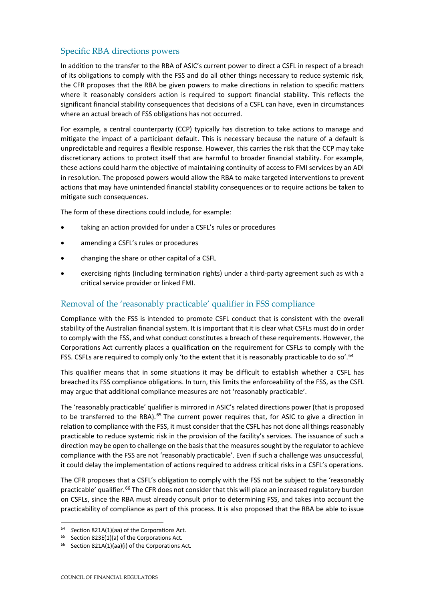### Specific RBA directions powers

In addition to the transfer to the RBA of ASIC's current power to direct a CSFL in respect of a breach of its obligations to comply with the FSS and do all other things necessary to reduce systemic risk, the CFR proposes that the RBA be given powers to make directions in relation to specific matters where it reasonably considers action is required to support financial stability. This reflects the significant financial stability consequences that decisions of a CSFL can have, even in circumstances where an actual breach of FSS obligations has not occurred.

For example, a central counterparty (CCP) typically has discretion to take actions to manage and mitigate the impact of a participant default. This is necessary because the nature of a default is unpredictable and requires a flexible response. However, this carries the risk that the CCP may take discretionary actions to protect itself that are harmful to broader financial stability. For example, these actions could harm the objective of maintaining continuity of access to FMI services by an ADI in resolution. The proposed powers would allow the RBA to make targeted interventions to prevent actions that may have unintended financial stability consequences or to require actions be taken to mitigate such consequences.

The form of these directions could include, for example:

- taking an action provided for under a CSFL's rules or procedures
- amending a CSFL's rules or procedures
- changing the share or other capital of a CSFL
- exercising rights (including termination rights) under a third-party agreement such as with a critical service provider or linked FMI.

### Removal of the 'reasonably practicable' qualifier in FSS compliance

Compliance with the FSS is intended to promote CSFL conduct that is consistent with the overall stability of the Australian financial system. It is important that it is clear what CSFLs must do in order to comply with the FSS, and what conduct constitutes a breach of these requirements. However, the Corporations Act currently places a qualification on the requirement for CSFLs to comply with the FSS. CSFLs are required to comply only 'to the extent that it is reasonably practicable to do so'.<sup>[64](#page-29-0)</sup>

This qualifier means that in some situations it may be difficult to establish whether a CSFL has breached its FSS compliance obligations. In turn, this limits the enforceability of the FSS, as the CSFL may argue that additional compliance measures are not 'reasonably practicable'.

The 'reasonably practicable' qualifier is mirrored in ASIC's related directions power (that is proposed to be transferred to the RBA).<sup>[65](#page-29-1)</sup> The current power requires that, for ASIC to give a direction in relation to compliance with the FSS, it must consider that the CSFL has not done all things reasonably practicable to reduce systemic risk in the provision of the facility's services. The issuance of such a direction may be open to challenge on the basis that the measures sought by the regulator to achieve compliance with the FSS are not 'reasonably practicable'. Even if such a challenge was unsuccessful, it could delay the implementation of actions required to address critical risks in a CSFL's operations.

The CFR proposes that a CSFL's obligation to comply with the FSS not be subject to the 'reasonably practicable' qualifier.<sup>[66](#page-29-2)</sup> The CFR does not consider that this will place an increased regulatory burden on CSFLs, since the RBA must already consult prior to determining FSS, and takes into account the practicability of compliance as part of this process. It is also proposed that the RBA be able to issue

<span id="page-29-0"></span><sup>64</sup> *<sup>S</sup>*ection 821A(1)(aa) of the Corporations Act*.*

<span id="page-29-2"></span><span id="page-29-1"></span><sup>65</sup> Section 823E(1)(a) of the Corporations Act*.*

<sup>66</sup> Section 821A(1)(aa)(i) of the Corporations Act*.*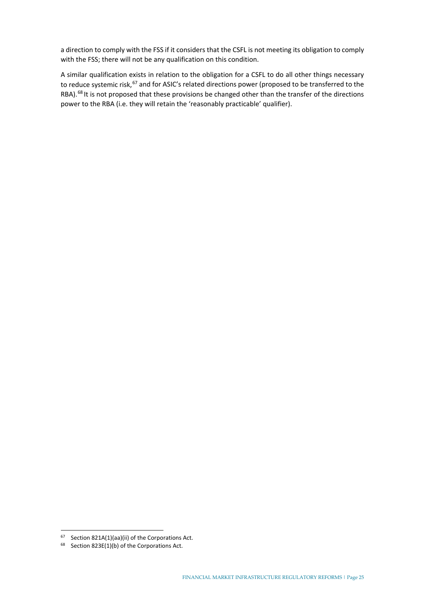a direction to comply with the FSS if it considers that the CSFL is not meeting its obligation to comply with the FSS; there will not be any qualification on this condition.

A similar qualification exists in relation to the obligation for a CSFL to do all other things necessary to reduce systemic risk,<sup>[67](#page-30-0)</sup> and for ASIC's related directions power (proposed to be transferred to the RBA).<sup>[68](#page-30-1)</sup> It is not proposed that these provisions be changed other than the transfer of the directions power to the RBA (i.e. they will retain the 'reasonably practicable' qualifier).

<span id="page-30-0"></span> $67$  Section 821A(1)(aa)(ii) of the Corporations Act.

<span id="page-30-1"></span><sup>68</sup> Section 823E(1)(b) of the Corporations Act.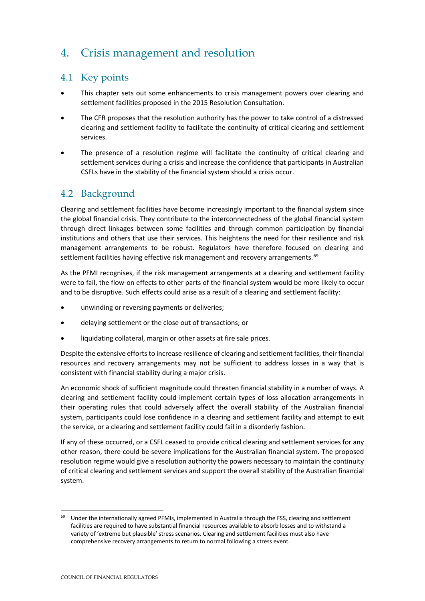## <span id="page-31-0"></span>4. Crisis management and resolution

## <span id="page-31-1"></span>4.1 Key points

- This chapter sets out some enhancements to crisis management powers over clearing and settlement facilities proposed in the 2015 Resolution Consultation.
- The CFR proposes that the resolution authority has the power to take control of a distressed clearing and settlement facility to facilitate the continuity of critical clearing and settlement services.
- The presence of a resolution regime will facilitate the continuity of critical clearing and settlement services during a crisis and increase the confidence that participants in Australian CSFLs have in the stability of the financial system should a crisis occur.

## <span id="page-31-2"></span>4.2 Background

Clearing and settlement facilities have become increasingly important to the financial system since the global financial crisis. They contribute to the interconnectedness of the global financial system through direct linkages between some facilities and through common participation by financial institutions and others that use their services. This heightens the need for their resilience and risk management arrangements to be robust. Regulators have therefore focused on clearing and settlement facilities having effective risk management and recovery arrangements.<sup>[69](#page-31-3)</sup>

As the PFMI recognises, if the risk management arrangements at a clearing and settlement facility were to fail, the flow-on effects to other parts of the financial system would be more likely to occur and to be disruptive. Such effects could arise as a result of a clearing and settlement facility:

- unwinding or reversing payments or deliveries;
- delaying settlement or the close out of transactions; or
- liquidating collateral, margin or other assets at fire sale prices.

Despite the extensive efforts to increase resilience of clearing and settlement facilities, their financial resources and recovery arrangements may not be sufficient to address losses in a way that is consistent with financial stability during a major crisis.

An economic shock of sufficient magnitude could threaten financial stability in a number of ways. A clearing and settlement facility could implement certain types of loss allocation arrangements in their operating rules that could adversely affect the overall stability of the Australian financial system, participants could lose confidence in a clearing and settlement facility and attempt to exit the service, or a clearing and settlement facility could fail in a disorderly fashion.

If any of these occurred, or a CSFL ceased to provide critical clearing and settlement services for any other reason, there could be severe implications for the Australian financial system. The proposed resolution regime would give a resolution authority the powers necessary to maintain the continuity of critical clearing and settlement services and support the overall stability of the Australian financial system.

<span id="page-31-3"></span>Under the internationally agreed PFMIs, implemented in Australia through the FSS, clearing and settlement facilities are required to have substantial financial resources available to absorb losses and to withstand a variety of 'extreme but plausible' stress scenarios. Clearing and settlement facilities must also have comprehensive recovery arrangements to return to normal following a stress event.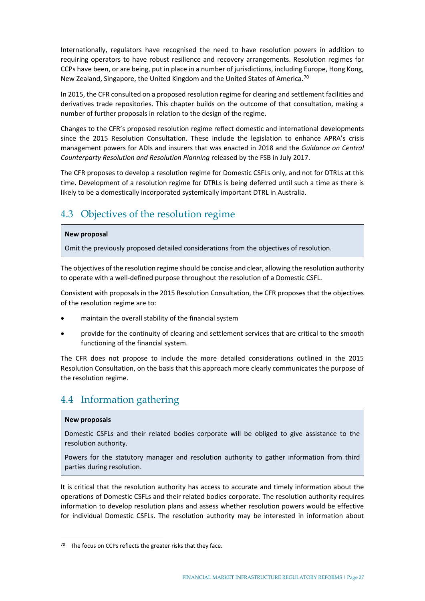Internationally, regulators have recognised the need to have resolution powers in addition to requiring operators to have robust resilience and recovery arrangements. Resolution regimes for CCPs have been, or are being, put in place in a number of jurisdictions, including Europe, Hong Kong, New Zealand, Singapore, the United Kingdom and the United States of America.<sup>[70](#page-32-2)</sup>

In 2015, the CFR consulted on a proposed resolution regime for clearing and settlement facilities and derivatives trade repositories. This chapter builds on the outcome of that consultation, making a number of further proposals in relation to the design of the regime.

Changes to the CFR's proposed resolution regime reflect domestic and international developments since the 2015 Resolution Consultation. These include the legislation to enhance APRA's crisis management powers for ADIs and insurers that was enacted in 2018 and the *[Guidance on Central](http://www.fsb.org/2017/07/guidance-on-central-counterparty-resolution-and-resolution-planning-2/)  [Counterparty Resolution](http://www.fsb.org/2017/07/guidance-on-central-counterparty-resolution-and-resolution-planning-2/) and Resolution Planning* released by the FSB in July 2017.

The CFR proposes to develop a resolution regime for Domestic CSFLs only, and not for DTRLs at this time. Development of a resolution regime for DTRLs is being deferred until such a time as there is likely to be a domestically incorporated systemically important DTRL in Australia.

## <span id="page-32-0"></span>4.3 Objectives of the resolution regime

#### **New proposal**

Omit the previously proposed detailed considerations from the objectives of resolution.

The objectives of the resolution regime should be concise and clear, allowing the resolution authority to operate with a well-defined purpose throughout the resolution of a Domestic CSFL.

Consistent with proposals in the 2015 Resolution Consultation, the CFR proposes that the objectives of the resolution regime are to:

- maintain the overall stability of the financial system
- provide for the continuity of clearing and settlement services that are critical to the smooth functioning of the financial system.

The CFR does not propose to include the more detailed considerations outlined in the 2015 Resolution Consultation, on the basis that this approach more clearly communicates the purpose of the resolution regime.

## <span id="page-32-1"></span>4.4 Information gathering

#### **New proposals**

Domestic CSFLs and their related bodies corporate will be obliged to give assistance to the resolution authority.

Powers for the statutory manager and resolution authority to gather information from third parties during resolution.

It is critical that the resolution authority has access to accurate and timely information about the operations of Domestic CSFLs and their related bodies corporate. The resolution authority requires information to develop resolution plans and assess whether resolution powers would be effective for individual Domestic CSFLs. The resolution authority may be interested in information about

<span id="page-32-2"></span><sup>&</sup>lt;sup>70</sup> The focus on CCPs reflects the greater risks that they face.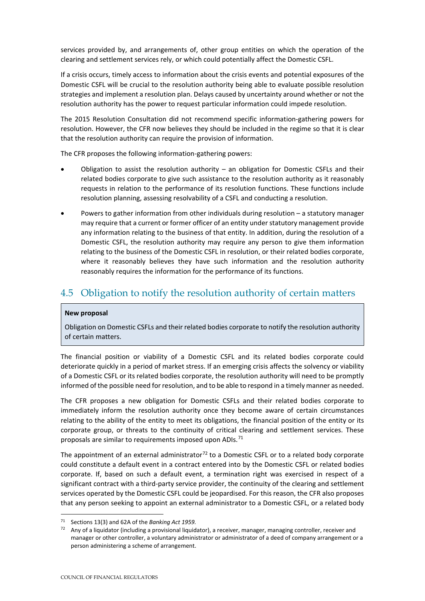services provided by, and arrangements of, other group entities on which the operation of the clearing and settlement services rely, or which could potentially affect the Domestic CSFL.

If a crisis occurs, timely access to information about the crisis events and potential exposures of the Domestic CSFL will be crucial to the resolution authority being able to evaluate possible resolution strategies and implement a resolution plan. Delays caused by uncertainty around whether or not the resolution authority has the power to request particular information could impede resolution.

The 2015 Resolution Consultation did not recommend specific information-gathering powers for resolution. However, the CFR now believes they should be included in the regime so that it is clear that the resolution authority can require the provision of information.

The CFR proposes the following information-gathering powers:

- Obligation to assist the resolution authority an obligation for Domestic CSFLs and their related bodies corporate to give such assistance to the resolution authority as it reasonably requests in relation to the performance of its resolution functions. These functions include resolution planning, assessing resolvability of a CSFL and conducting a resolution.
- Powers to gather information from other individuals during resolution a statutory manager may require that a current or former officer of an entity under statutory management provide any information relating to the business of that entity. In addition, during the resolution of a Domestic CSFL, the resolution authority may require any person to give them information relating to the business of the Domestic CSFL in resolution, or their related bodies corporate, where it reasonably believes they have such information and the resolution authority reasonably requires the information for the performance of its functions.

## <span id="page-33-0"></span>4.5 Obligation to notify the resolution authority of certain matters

#### **New proposal**

Obligation on Domestic CSFLs and their related bodies corporate to notify the resolution authority of certain matters.

The financial position or viability of a Domestic CSFL and its related bodies corporate could deteriorate quickly in a period of market stress. If an emerging crisis affects the solvency or viability of a Domestic CSFL or its related bodies corporate, the resolution authority will need to be promptly informed of the possible need for resolution, and to be able to respond in a timely manner as needed.

The CFR proposes a new obligation for Domestic CSFLs and their related bodies corporate to immediately inform the resolution authority once they become aware of certain circumstances relating to the ability of the entity to meet its obligations, the financial position of the entity or its corporate group, or threats to the continuity of critical clearing and settlement services. These proposals are similar to requirements imposed upon ADIs. $71$ 

The appointment of an external administrator $72$  to a Domestic CSFL or to a related body corporate could constitute a default event in a contract entered into by the Domestic CSFL or related bodies corporate. If, based on such a default event, a termination right was exercised in respect of a significant contract with a third-party service provider, the continuity of the clearing and settlement services operated by the Domestic CSFL could be jeopardised. For this reason, the CFR also proposes that any person seeking to appoint an external administrator to a Domestic CSFL, or a related body

<span id="page-33-1"></span><sup>71</sup> Sections 13(3) and 62A of the *Banking Act 1959.*

<span id="page-33-2"></span><sup>72</sup> Any of a liquidator (including a provisional liquidator), a receiver, manager, managing controller, receiver and manager or other controller, a voluntary administrator or administrator of a deed of company arrangement or a person administering a scheme of arrangement.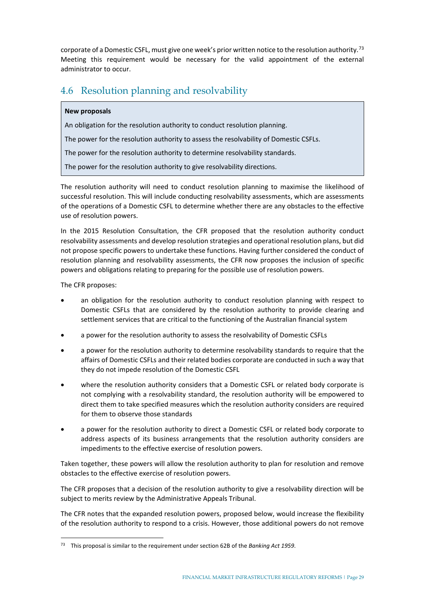corporate of a Domestic CSFL, must give one week's prior written notice to the resolution authority.<sup>[73](#page-34-1)</sup> Meeting this requirement would be necessary for the valid appointment of the external administrator to occur.

## <span id="page-34-0"></span>4.6 Resolution planning and resolvability

#### **New proposals**

An obligation for the resolution authority to conduct resolution planning.

The power for the resolution authority to assess the resolvability of Domestic CSFLs.

The power for the resolution authority to determine resolvability standards.

The power for the resolution authority to give resolvability directions.

The resolution authority will need to conduct resolution planning to maximise the likelihood of successful resolution. This will include conducting resolvability assessments, which are assessments of the operations of a Domestic CSFL to determine whether there are any obstacles to the effective use of resolution powers.

In the 2015 Resolution Consultation, the CFR proposed that the resolution authority conduct resolvability assessments and develop resolution strategies and operational resolution plans, but did not propose specific powers to undertake these functions. Having further considered the conduct of resolution planning and resolvability assessments, the CFR now proposes the inclusion of specific powers and obligations relating to preparing for the possible use of resolution powers.

The CFR proposes:

- an obligation for the resolution authority to conduct resolution planning with respect to Domestic CSFLs that are considered by the resolution authority to provide clearing and settlement services that are critical to the functioning of the Australian financial system
- a power for the resolution authority to assess the resolvability of Domestic CSFLs
- a power for the resolution authority to determine resolvability standards to require that the affairs of Domestic CSFLs and their related bodies corporate are conducted in such a way that they do not impede resolution of the Domestic CSFL
- where the resolution authority considers that a Domestic CSFL or related body corporate is not complying with a resolvability standard, the resolution authority will be empowered to direct them to take specified measures which the resolution authority considers are required for them to observe those standards
- a power for the resolution authority to direct a Domestic CSFL or related body corporate to address aspects of its business arrangements that the resolution authority considers are impediments to the effective exercise of resolution powers.

Taken together, these powers will allow the resolution authority to plan for resolution and remove obstacles to the effective exercise of resolution powers.

The CFR proposes that a decision of the resolution authority to give a resolvability direction will be subject to merits review by the Administrative Appeals Tribunal.

The CFR notes that the expanded resolution powers, proposed below, would increase the flexibility of the resolution authority to respond to a crisis. However, those additional powers do not remove

<span id="page-34-1"></span><sup>73</sup> This proposal is similar to the requirement under section 62B of the *Banking Act 1959*.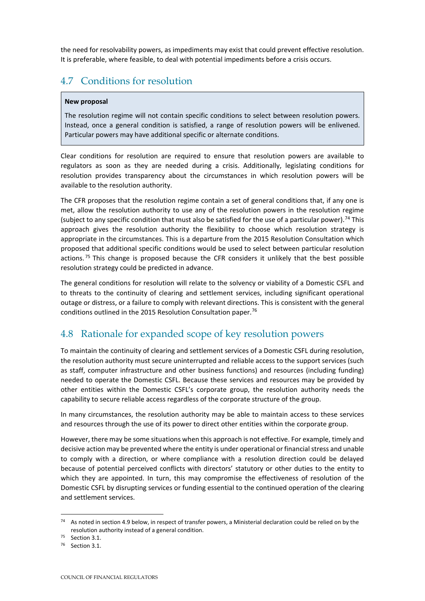the need for resolvability powers, as impediments may exist that could prevent effective resolution. It is preferable, where feasible, to deal with potential impediments before a crisis occurs.

## <span id="page-35-0"></span>4.7 Conditions for resolution

#### **New proposal**

The resolution regime will not contain specific conditions to select between resolution powers. Instead, once a general condition is satisfied, a range of resolution powers will be enlivened. Particular powers may have additional specific or alternate conditions.

Clear conditions for resolution are required to ensure that resolution powers are available to regulators as soon as they are needed during a crisis. Additionally, legislating conditions for resolution provides transparency about the circumstances in which resolution powers will be available to the resolution authority.

The CFR proposes that the resolution regime contain a set of general conditions that, if any one is met, allow the resolution authority to use any of the resolution powers in the resolution regime (subject to any specific condition that must also be satisfied for the use of a particular power). [74](#page-35-2) This approach gives the resolution authority the flexibility to choose which resolution strategy is appropriate in the circumstances. This is a departure from the 2015 Resolution Consultation which proposed that additional specific conditions would be used to select between particular resolution actions.<sup>[75](#page-35-3)</sup> This change is proposed because the CFR considers it unlikely that the best possible resolution strategy could be predicted in advance.

The general conditions for resolution will relate to the solvency or viability of a Domestic CSFL and to threats to the continuity of clearing and settlement services, including significant operational outage or distress, or a failure to comply with relevant directions. This is consistent with the general conditions outlined in the 2015 Resolution Consultation paper.<sup>[76](#page-35-4)</sup>

## <span id="page-35-1"></span>4.8 Rationale for expanded scope of key resolution powers

To maintain the continuity of clearing and settlement services of a Domestic CSFL during resolution, the resolution authority must secure uninterrupted and reliable access to the support services (such as staff, computer infrastructure and other business functions) and resources (including funding) needed to operate the Domestic CSFL. Because these services and resources may be provided by other entities within the Domestic CSFL's corporate group, the resolution authority needs the capability to secure reliable access regardless of the corporate structure of the group.

In many circumstances, the resolution authority may be able to maintain access to these services and resources through the use of its power to direct other entities within the corporate group.

However, there may be some situations when this approach is not effective. For example, timely and decisive action may be prevented where the entity is under operational or financial stress and unable to comply with a direction, or where compliance with a resolution direction could be delayed because of potential perceived conflicts with directors' statutory or other duties to the entity to which they are appointed. In turn, this may compromise the effectiveness of resolution of the Domestic CSFL by disrupting services or funding essential to the continued operation of the clearing and settlement services.

<span id="page-35-2"></span><sup>74</sup> As noted in section 4.9 below, in respect of transfer powers, a Ministerial declaration could be relied on by the resolution authority instead of a general condition.<br>
<sup>75</sup> Section 3.1.<br>
<sup>76</sup> Section 3.1.

<span id="page-35-4"></span><span id="page-35-3"></span>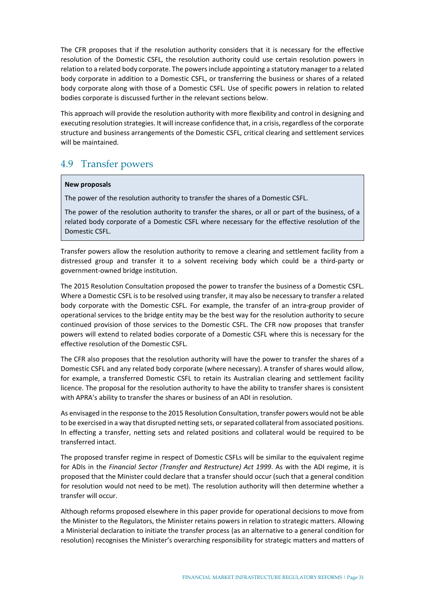The CFR proposes that if the resolution authority considers that it is necessary for the effective resolution of the Domestic CSFL, the resolution authority could use certain resolution powers in relation to a related body corporate. The powers include appointing a statutory manager to a related body corporate in addition to a Domestic CSFL, or transferring the business or shares of a related body corporate along with those of a Domestic CSFL. Use of specific powers in relation to related bodies corporate is discussed further in the relevant sections below.

This approach will provide the resolution authority with more flexibility and control in designing and executing resolution strategies. It will increase confidence that, in a crisis, regardless of the corporate structure and business arrangements of the Domestic CSFL, critical clearing and settlement services will be maintained.

## <span id="page-36-0"></span>4.9 Transfer powers

#### **New proposals**

The power of the resolution authority to transfer the shares of a Domestic CSFL.

The power of the resolution authority to transfer the shares, or all or part of the business, of a related body corporate of a Domestic CSFL where necessary for the effective resolution of the Domestic CSFL.

Transfer powers allow the resolution authority to remove a clearing and settlement facility from a distressed group and transfer it to a solvent receiving body which could be a third-party or government-owned bridge institution.

The 2015 Resolution Consultation proposed the power to transfer the business of a Domestic CSFL. Where a Domestic CSFL is to be resolved using transfer, it may also be necessary to transfer a related body corporate with the Domestic CSFL. For example, the transfer of an intra-group provider of operational services to the bridge entity may be the best way for the resolution authority to secure continued provision of those services to the Domestic CSFL. The CFR now proposes that transfer powers will extend to related bodies corporate of a Domestic CSFL where this is necessary for the effective resolution of the Domestic CSFL.

The CFR also proposes that the resolution authority will have the power to transfer the shares of a Domestic CSFL and any related body corporate (where necessary). A transfer of shares would allow, for example, a transferred Domestic CSFL to retain its Australian clearing and settlement facility licence. The proposal for the resolution authority to have the ability to transfer shares is consistent with APRA's ability to transfer the shares or business of an ADI in resolution.

As envisaged in the response to the 2015 Resolution Consultation, transfer powers would not be able to be exercised in a way that disrupted netting sets, or separated collateral from associated positions. In effecting a transfer, netting sets and related positions and collateral would be required to be transferred intact.

The proposed transfer regime in respect of Domestic CSFLs will be similar to the equivalent regime for ADIs in the *Financial Sector (Transfer and Restructure) Act 1999*. As with the ADI regime, it is proposed that the Minister could declare that a transfer should occur (such that a general condition for resolution would not need to be met). The resolution authority will then determine whether a transfer will occur.

Although reforms proposed elsewhere in this paper provide for operational decisions to move from the Minister to the Regulators, the Minister retains powers in relation to strategic matters. Allowing a Ministerial declaration to initiate the transfer process (as an alternative to a general condition for resolution) recognises the Minister's overarching responsibility for strategic matters and matters of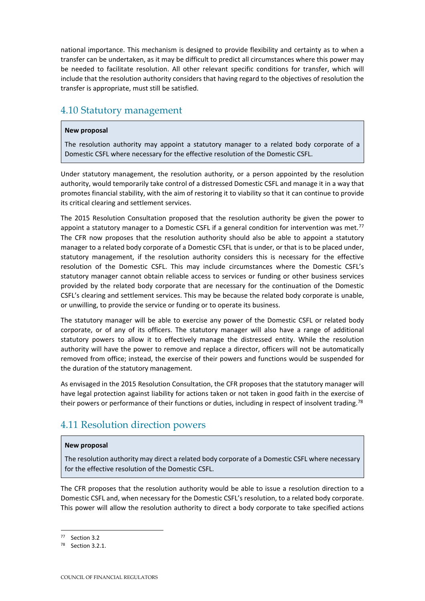national importance. This mechanism is designed to provide flexibility and certainty as to when a transfer can be undertaken, as it may be difficult to predict all circumstances where this power may be needed to facilitate resolution. All other relevant specific conditions for transfer, which will include that the resolution authority considers that having regard to the objectives of resolution the transfer is appropriate, must still be satisfied.

### <span id="page-37-0"></span>4.10 Statutory management

#### **New proposal**

The resolution authority may appoint a statutory manager to a related body corporate of a Domestic CSFL where necessary for the effective resolution of the Domestic CSFL.

Under statutory management, the resolution authority, or a person appointed by the resolution authority, would temporarily take control of a distressed Domestic CSFL and manage it in a way that promotes financial stability, with the aim of restoring it to viability so that it can continue to provide its critical clearing and settlement services.

The 2015 Resolution Consultation proposed that the resolution authority be given the power to appoint a statutory manager to a Domestic CSFL if a general condition for intervention was met.<sup>[77](#page-37-2)</sup> The CFR now proposes that the resolution authority should also be able to appoint a statutory manager to a related body corporate of a Domestic CSFL that is under, or that is to be placed under, statutory management, if the resolution authority considers this is necessary for the effective resolution of the Domestic CSFL. This may include circumstances where the Domestic CSFL's statutory manager cannot obtain reliable access to services or funding or other business services provided by the related body corporate that are necessary for the continuation of the Domestic CSFL's clearing and settlement services. This may be because the related body corporate is unable, or unwilling, to provide the service or funding or to operate its business.

The statutory manager will be able to exercise any power of the Domestic CSFL or related body corporate, or of any of its officers. The statutory manager will also have a range of additional statutory powers to allow it to effectively manage the distressed entity. While the resolution authority will have the power to remove and replace a director, officers will not be automatically removed from office; instead, the exercise of their powers and functions would be suspended for the duration of the statutory management.

As envisaged in the 2015 Resolution Consultation, the CFR proposes that the statutory manager will have legal protection against liability for actions taken or not taken in good faith in the exercise of their powers or performance of their functions or duties, including in respect of insolvent trading.<sup>[78](#page-37-3)</sup>

## <span id="page-37-1"></span>4.11 Resolution direction powers

#### **New proposal**

The resolution authority may direct a related body corporate of a Domestic CSFL where necessary for the effective resolution of the Domestic CSFL.

The CFR proposes that the resolution authority would be able to issue a resolution direction to a Domestic CSFL and, when necessary for the Domestic CSFL's resolution, to a related body corporate. This power will allow the resolution authority to direct a body corporate to take specified actions

<span id="page-37-3"></span><span id="page-37-2"></span><sup>77</sup> Section 3.2

<sup>78</sup> Section 3.2.1.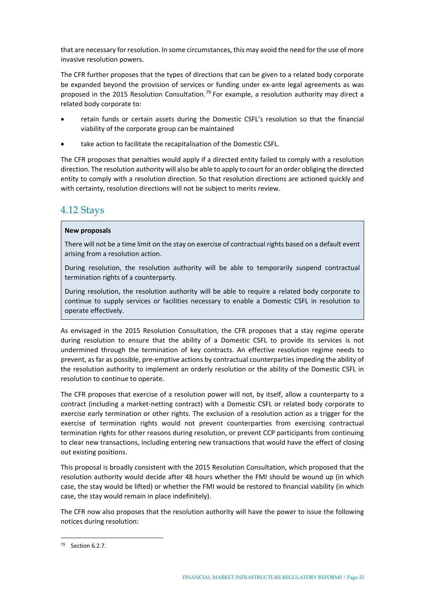that are necessary for resolution. In some circumstances, this may avoid the need for the use of more invasive resolution powers.

The CFR further proposes that the types of directions that can be given to a related body corporate be expanded beyond the provision of services or funding under ex-ante legal agreements as was proposed in the 2015 Resolution Consultation.<sup>[79](#page-38-1)</sup> For example, a resolution authority may direct a related body corporate to:

- retain funds or certain assets during the Domestic CSFL's resolution so that the financial viability of the corporate group can be maintained
- take action to facilitate the recapitalisation of the Domestic CSFL.

The CFR proposes that penalties would apply if a directed entity failed to comply with a resolution direction. The resolution authority will also be able to apply to court for an order obliging the directed entity to comply with a resolution direction. So that resolution directions are actioned quickly and with certainty, resolution directions will not be subject to merits review.

### <span id="page-38-0"></span>4.12 Stays

#### **New proposals**

There will not be a time limit on the stay on exercise of contractual rights based on a default event arising from a resolution action.

During resolution, the resolution authority will be able to temporarily suspend contractual termination rights of a counterparty.

During resolution, the resolution authority will be able to require a related body corporate to continue to supply services or facilities necessary to enable a Domestic CSFL in resolution to operate effectively.

As envisaged in the 2015 Resolution Consultation, the CFR proposes that a stay regime operate during resolution to ensure that the ability of a Domestic CSFL to provide its services is not undermined through the termination of key contracts. An effective resolution regime needs to prevent, as far as possible, pre-emptive actions by contractual counterparties impeding the ability of the resolution authority to implement an orderly resolution or the ability of the Domestic CSFL in resolution to continue to operate.

The CFR proposes that exercise of a resolution power will not, by itself, allow a counterparty to a contract (including a market-netting contract) with a Domestic CSFL or related body corporate to exercise early termination or other rights. The exclusion of a resolution action as a trigger for the exercise of termination rights would not prevent counterparties from exercising contractual termination rights for other reasons during resolution, or prevent CCP participants from continuing to clear new transactions, including entering new transactions that would have the effect of closing out existing positions.

This proposal is broadly consistent with the 2015 Resolution Consultation, which proposed that the resolution authority would decide after 48 hours whether the FMI should be wound up (in which case, the stay would be lifted) or whether the FMI would be restored to financial viability (in which case, the stay would remain in place indefinitely).

The CFR now also proposes that the resolution authority will have the power to issue the following notices during resolution:

<span id="page-38-1"></span><sup>79</sup> Section 6.2.7.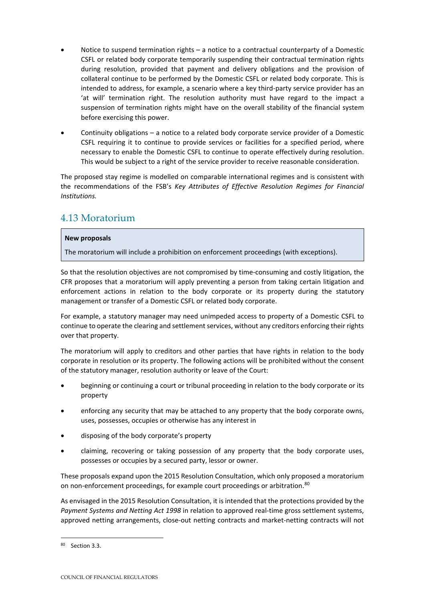- Notice to suspend termination rights a notice to a contractual counterparty of a Domestic CSFL or related body corporate temporarily suspending their contractual termination rights during resolution, provided that payment and delivery obligations and the provision of collateral continue to be performed by the Domestic CSFL or related body corporate. This is intended to address, for example, a scenario where a key third-party service provider has an 'at will' termination right. The resolution authority must have regard to the impact a suspension of termination rights might have on the overall stability of the financial system before exercising this power.
- Continuity obligations a notice to a related body corporate service provider of a Domestic CSFL requiring it to continue to provide services or facilities for a specified period, where necessary to enable the Domestic CSFL to continue to operate effectively during resolution. This would be subject to a right of the service provider to receive reasonable consideration.

The proposed stay regime is modelled on comparable international regimes and is consistent with the recommendations of the FSB's *Key Attributes of Effective Resolution Regimes for Financial Institutions.*

## <span id="page-39-0"></span>4.13 Moratorium

#### **New proposals**

The moratorium will include a prohibition on enforcement proceedings (with exceptions).

So that the resolution objectives are not compromised by time-consuming and costly litigation, the CFR proposes that a moratorium will apply preventing a person from taking certain litigation and enforcement actions in relation to the body corporate or its property during the statutory management or transfer of a Domestic CSFL or related body corporate.

For example, a statutory manager may need unimpeded access to property of a Domestic CSFL to continue to operate the clearing and settlement services, without any creditors enforcing their rights over that property.

The moratorium will apply to creditors and other parties that have rights in relation to the body corporate in resolution or its property. The following actions will be prohibited without the consent of the statutory manager, resolution authority or leave of the Court:

- beginning or continuing a court or tribunal proceeding in relation to the body corporate or its property
- enforcing any security that may be attached to any property that the body corporate owns, uses, possesses, occupies or otherwise has any interest in
- disposing of the body corporate's property
- claiming, recovering or taking possession of any property that the body corporate uses, possesses or occupies by a secured party, lessor or owner.

These proposals expand upon the 2015 Resolution Consultation, which only proposed a moratorium on non-enforcement proceedings, for example court proceedings or arbitration.<sup>[80](#page-39-1)</sup>

As envisaged in the 2015 Resolution Consultation, it is intended that the protections provided by the *Payment Systems and Netting Act 1998* in relation to approved real-time gross settlement systems, approved netting arrangements, close-out netting contracts and market-netting contracts will not

<span id="page-39-1"></span><sup>80</sup> Section 3.3.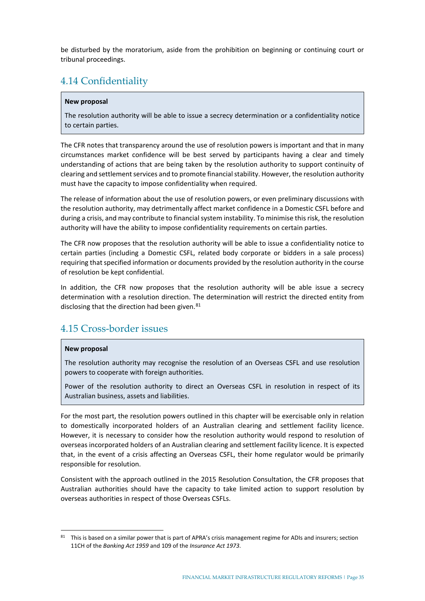be disturbed by the moratorium, aside from the prohibition on beginning or continuing court or tribunal proceedings.

## <span id="page-40-0"></span>4.14 Confidentiality

#### **New proposal**

The resolution authority will be able to issue a secrecy determination or a confidentiality notice to certain parties.

The CFR notes that transparency around the use of resolution powers is important and that in many circumstances market confidence will be best served by participants having a clear and timely understanding of actions that are being taken by the resolution authority to support continuity of clearing and settlement services and to promote financial stability. However, the resolution authority must have the capacity to impose confidentiality when required.

The release of information about the use of resolution powers, or even preliminary discussions with the resolution authority, may detrimentally affect market confidence in a Domestic CSFL before and during a crisis, and may contribute to financial system instability. To minimise this risk, the resolution authority will have the ability to impose confidentiality requirements on certain parties.

The CFR now proposes that the resolution authority will be able to issue a confidentiality notice to certain parties (including a Domestic CSFL, related body corporate or bidders in a sale process) requiring that specified information or documents provided by the resolution authority in the course of resolution be kept confidential.

In addition, the CFR now proposes that the resolution authority will be able issue a secrecy determination with a resolution direction. The determination will restrict the directed entity from disclosing that the direction had been given. $81$ 

## <span id="page-40-1"></span>4.15 Cross-border issues

#### **New proposal**

The resolution authority may recognise the resolution of an Overseas CSFL and use resolution powers to cooperate with foreign authorities.

Power of the resolution authority to direct an Overseas CSFL in resolution in respect of its Australian business, assets and liabilities.

For the most part, the resolution powers outlined in this chapter will be exercisable only in relation to domestically incorporated holders of an Australian clearing and settlement facility licence. However, it is necessary to consider how the resolution authority would respond to resolution of overseas incorporated holders of an Australian clearing and settlement facility licence. It is expected that, in the event of a crisis affecting an Overseas CSFL, their home regulator would be primarily responsible for resolution.

Consistent with the approach outlined in the 2015 Resolution Consultation, the CFR proposes that Australian authorities should have the capacity to take limited action to support resolution by overseas authorities in respect of those Overseas CSFLs.

<span id="page-40-2"></span><sup>81</sup> This is based on a similar power that is part of APRA's crisis management regime for ADIs and insurers; section 11CH of the *Banking Act 1959* and 109 of the *Insurance Act 1973*.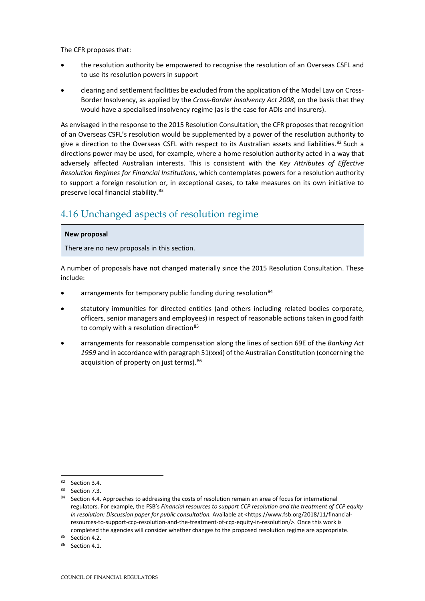The CFR proposes that:

- the resolution authority be empowered to recognise the resolution of an Overseas CSFL and to use its resolution powers in support
- clearing and settlement facilities be excluded from the application of the Model Law on Cross-Border Insolvency, as applied by the *Cross-Border Insolvency Act 2008*, on the basis that they would have a specialised insolvency regime (as is the case for ADIs and insurers).

As envisaged in the response to the 2015 Resolution Consultation, the CFR proposes that recognition of an Overseas CSFL's resolution would be supplemented by a power of the resolution authority to give a direction to the Overseas CSFL with respect to its Australian assets and liabilities.<sup>[82](#page-41-1)</sup> Such a directions power may be used, for example, where a home resolution authority acted in a way that adversely affected Australian interests. This is consistent with the *Key Attributes of Effective Resolution Regimes for Financial Institutions*, which contemplates powers for a resolution authority to support a foreign resolution or, in exceptional cases, to take measures on its own initiative to preserve local financial stability. [83](#page-41-2)

## <span id="page-41-0"></span>4.16 Unchanged aspects of resolution regime

#### **New proposal**

There are no new proposals in this section.

A number of proposals have not changed materially since the 2015 Resolution Consultation. These include:

- arrangements for temporary public funding during resolution<sup>[84](#page-41-3)</sup>
- statutory immunities for directed entities (and others including related bodies corporate, officers, senior managers and employees) in respect of reasonable actions taken in good faith to comply with a resolution direction $85$
- arrangements for reasonable compensation along the lines of section 69E of the *Banking Act 1959* and in accordance with paragraph 51(xxxi) of the Australian Constitution (concerning the acquisition of property on just terms). <sup>[86](#page-41-5)</sup>

<span id="page-41-1"></span><sup>&</sup>lt;sup>82</sup> Section 3.4.

<span id="page-41-2"></span><sup>83</sup> Section 7.3.

<span id="page-41-3"></span><sup>84</sup> Section 4.4. Approaches to addressing the costs of resolution remain an area of focus for international regulators. For example, the FSB's *Financial resources to support CCP resolution and the treatment of CCP equity in resolution: Discussion paper for public consultation.* Available at [<https://www.fsb.org/2018/11/financial](https://www.fsb.org/2018/11/financial-resources-to-support-ccp-resolution-and-the-treatment-of-ccp-equity-in-resolution/)[resources-to-support-ccp-resolution-and-the-treatment-of-ccp-equity-in-resolution/>](https://www.fsb.org/2018/11/financial-resources-to-support-ccp-resolution-and-the-treatment-of-ccp-equity-in-resolution/). Once this work is completed the agencies will consider whether changes to the proposed resolution regime are appropriate.

<span id="page-41-4"></span><sup>85</sup> Section 4.2.

<span id="page-41-5"></span><sup>86</sup> Section 4.1.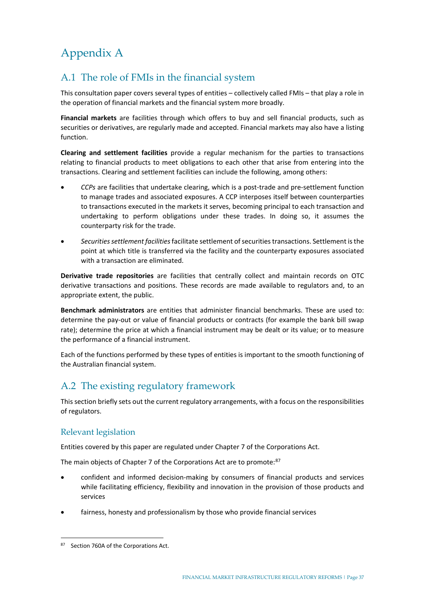## <span id="page-42-0"></span>Appendix A

## <span id="page-42-1"></span>A.1 The role of FMIs in the financial system

This consultation paper covers several types of entities – collectively called FMIs – that play a role in the operation of financial markets and the financial system more broadly.

**Financial markets** are facilities through which offers to buy and sell financial products, such as securities or derivatives, are regularly made and accepted. Financial markets may also have a listing function.

**Clearing and settlement facilities** provide a regular mechanism for the parties to transactions relating to financial products to meet obligations to each other that arise from entering into the transactions. Clearing and settlement facilities can include the following, among others:

- *CCPs* are facilities that undertake clearing, which is a post-trade and pre-settlement function to manage trades and associated exposures. A CCP interposes itself between counterparties to transactions executed in the markets it serves, becoming principal to each transaction and undertaking to perform obligations under these trades. In doing so, it assumes the counterparty risk for the trade.
- *Securities settlement facilities*facilitate settlement of securities transactions. Settlement is the point at which title is transferred via the facility and the counterparty exposures associated with a transaction are eliminated.

**Derivative trade repositories** are facilities that centrally collect and maintain records on OTC derivative transactions and positions. These records are made available to regulators and, to an appropriate extent, the public.

**Benchmark administrators** are entities that administer financial benchmarks. These are used to: determine the pay-out or value of financial products or contracts (for example the bank bill swap rate); determine the price at which a financial instrument may be dealt or its value; or to measure the performance of a financial instrument.

Each of the functions performed by these types of entities is important to the smooth functioning of the Australian financial system.

## <span id="page-42-2"></span>A.2 The existing regulatory framework

This section briefly sets out the current regulatory arrangements, with a focus on the responsibilities of regulators.

### Relevant legislation

Entities covered by this paper are regulated under Chapter 7 of the Corporations Act.

The main objects of Chapter 7 of the Corporations Act are to promote: [87](#page-42-3)

- confident and informed decision-making by consumers of financial products and services while facilitating efficiency, flexibility and innovation in the provision of those products and services
- fairness, honesty and professionalism by those who provide financial services

<span id="page-42-3"></span><sup>87</sup> Section 760A of the Corporations Act.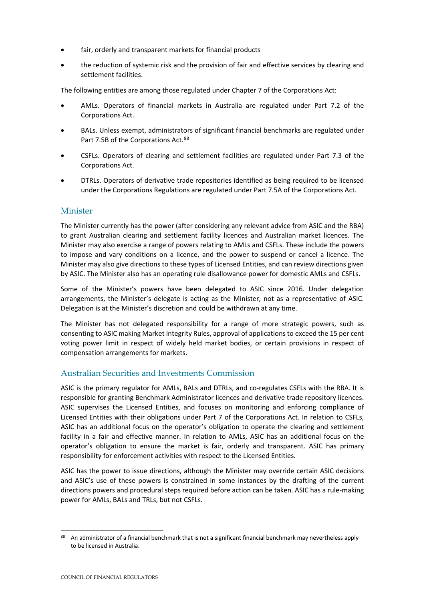- fair, orderly and transparent markets for financial products
- the reduction of systemic risk and the provision of fair and effective services by clearing and settlement facilities.

The following entities are among those regulated under Chapter 7 of the Corporations Act:

- AMLs. Operators of financial markets in Australia are regulated under Part 7.2 of the Corporations Act.
- BALs. Unless exempt, administrators of significant financial benchmarks are regulated under Part 7.5B of the Corporations Act. [88](#page-43-0)
- CSFLs. Operators of clearing and settlement facilities are regulated under Part 7.3 of the Corporations Act.
- DTRLs. Operators of derivative trade repositories identified as being required to be licensed under the Corporations Regulations are regulated under Part 7.5A of the Corporations Act.

#### Minister

The Minister currently has the power (after considering any relevant advice from ASIC and the RBA) to grant Australian clearing and settlement facility licences and Australian market licences. The Minister may also exercise a range of powers relating to AMLs and CSFLs. These include the powers to impose and vary conditions on a licence, and the power to suspend or cancel a licence. The Minister may also give directions to these types of Licensed Entities, and can review directions given by ASIC. The Minister also has an operating rule disallowance power for domestic AMLs and CSFLs.

Some of the Minister's powers have been delegated to ASIC since 2016. Under delegation arrangements, the Minister's delegate is acting as the Minister, not as a representative of ASIC. Delegation is at the Minister's discretion and could be withdrawn at any time.

The Minister has not delegated responsibility for a range of more strategic powers, such as consenting to ASIC making Market Integrity Rules, approval of applications to exceed the 15 per cent voting power limit in respect of widely held market bodies, or certain provisions in respect of compensation arrangements for markets.

### Australian Securities and Investments Commission

ASIC is the primary regulator for AMLs, BALs and DTRLs, and co-regulates CSFLs with the RBA. It is responsible for granting Benchmark Administrator licences and derivative trade repository licences. ASIC supervises the Licensed Entities, and focuses on monitoring and enforcing compliance of Licensed Entities with their obligations under Part 7 of the Corporations Act. In relation to CSFLs, ASIC has an additional focus on the operator's obligation to operate the clearing and settlement facility in a fair and effective manner. In relation to AMLs, ASIC has an additional focus on the operator's obligation to ensure the market is fair, orderly and transparent. ASIC has primary responsibility for enforcement activities with respect to the Licensed Entities.

ASIC has the power to issue directions, although the Minister may override certain ASIC decisions and ASIC's use of these powers is constrained in some instances by the drafting of the current directions powers and procedural steps required before action can be taken. ASIC has a rule-making power for AMLs, BALs and TRLs, but not CSFLs.

<span id="page-43-0"></span><sup>88</sup> An administrator of a financial benchmark that is not a significant financial benchmark may nevertheless apply to be licensed in Australia.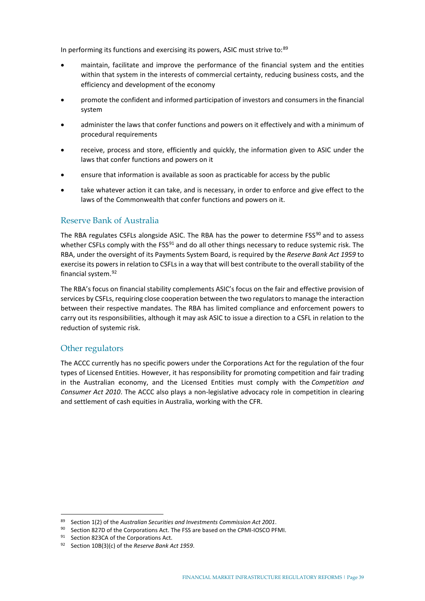In performing its functions and exercising its powers, ASIC must strive to:<sup>[89](#page-44-0)</sup>

- maintain, facilitate and improve the performance of the financial system and the entities within that system in the interests of commercial certainty, reducing business costs, and the efficiency and development of the economy
- promote the confident and informed participation of investors and consumers in the financial system
- administer the laws that confer functions and powers on it effectively and with a minimum of procedural requirements
- receive, process and store, efficiently and quickly, the information given to ASIC under the laws that confer functions and powers on it
- ensure that information is available as soon as practicable for access by the public
- take whatever action it can take, and is necessary, in order to enforce and give effect to the laws of the Commonwealth that confer functions and powers on it.

#### Reserve Bank of Australia

The RBA regulates CSFLs alongside ASIC. The RBA has the power to determine FSS<sup>[90](#page-44-1)</sup> and to assess whether CSFLs comply with the FSS<sup>[91](#page-44-2)</sup> and do all other things necessary to reduce systemic risk. The RBA, under the oversight of its Payments System Board, is required by the *Reserve Bank Act 1959* to exercise its powers in relation to CSFLs in a way that will best contribute to the overall stability of the financial system.[92](#page-44-3)

The RBA's focus on financial stability complements ASIC's focus on the fair and effective provision of services by CSFLs, requiring close cooperation between the two regulators to manage the interaction between their respective mandates. The RBA has limited compliance and enforcement powers to carry out its responsibilities, although it may ask ASIC to issue a direction to a CSFL in relation to the reduction of systemic risk.

### Other regulators

The ACCC currently has no specific powers under the Corporations Act for the regulation of the four types of Licensed Entities. However, it has responsibility for promoting competition and fair trading in the Australian economy, and the Licensed Entities must comply with the *Competition and Consumer Act 2010*. The ACCC also plays a non-legislative advocacy role in competition in clearing and settlement of cash equities in Australia, working with the CFR.

<sup>89</sup> Section 1(2) of the *Australian Securities and Investments Commission Act 2001*.

<span id="page-44-1"></span><span id="page-44-0"></span><sup>90</sup> Section 827D of the Corporations Act. The FSS are based on the CPMI-IOSCO PFMI.

<span id="page-44-2"></span><sup>91</sup> Section 823CA of the Corporations Act.

<span id="page-44-3"></span><sup>92</sup> Section 10B(3)(c) of the *Reserve Bank Act 1959*.